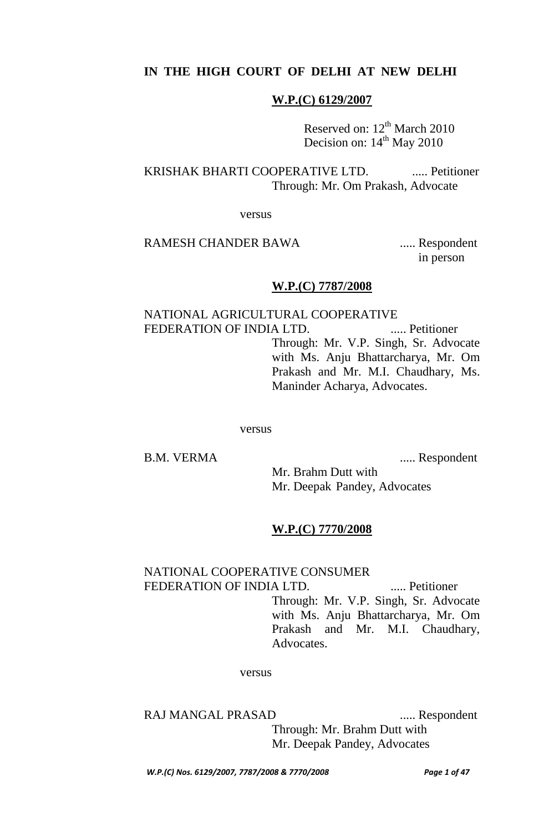# **IN THE HIGH COURT OF DELHI AT NEW DELHI**

### **W.P.(C) 6129/2007**

Reserved on: 12<sup>th</sup> March 2010 Decision on:  $14<sup>th</sup>$  May 2010

KRISHAK BHARTI COOPERATIVE LTD. ...... Petitioner Through: Mr. Om Prakash, Advocate

versus

### RAMESH CHANDER BAWA ...... Respondent

in person

#### **W.P.(C) 7787/2008**

NATIONAL AGRICULTURAL COOPERATIVE FEDERATION OF INDIA LTD. ..... Petitioner Through: Mr. V.P. Singh, Sr. Advocate with Ms. Anju Bhattarcharya, Mr. Om Prakash and Mr. M.I. Chaudhary, Ms. Maninder Acharya, Advocates.

versus

B.M. VERMA ...... Respondent

Mr. Brahm Dutt with Mr. Deepak Pandey, Advocates

#### **W.P.(C) 7770/2008**

### NATIONAL COOPERATIVE CONSUMER FEDERATION OF INDIA LTD. ...... Petitioner

Through: Mr. V.P. Singh, Sr. Advocate with Ms. Anju Bhattarcharya, Mr. Om Prakash and Mr. M.I. Chaudhary, Advocates.

versus

RAJ MANGAL PRASAD ..... Respondent Through: Mr. Brahm Dutt with Mr. Deepak Pandey, Advocates

*W.P.(C) Nos. 6129/2007, 7787/2008 & 7770/2008 Page 1 of 47*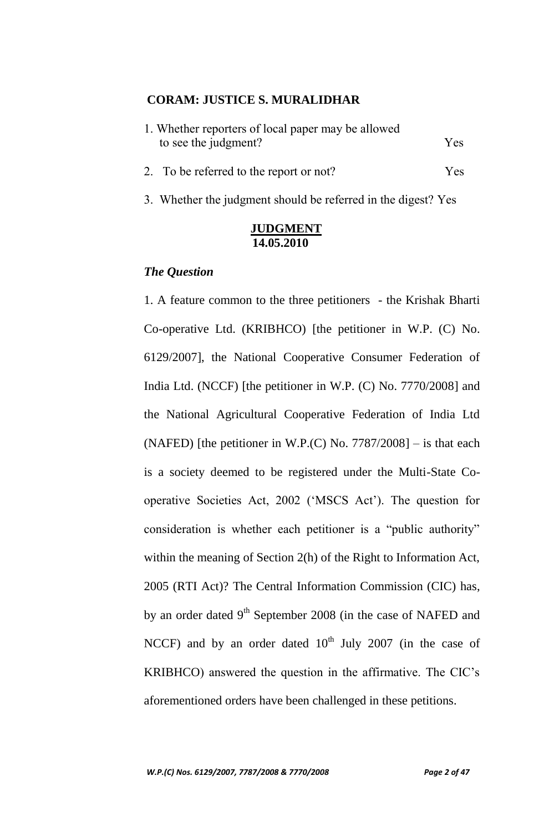### **CORAM: JUSTICE S. MURALIDHAR**

| 1. Whether reporters of local paper may be allowed |      |
|----------------------------------------------------|------|
| to see the judgment?                               | Yes. |
| 2. To be referred to the report or not?            | Yes. |

3. Whether the judgment should be referred in the digest? Yes

## **JUDGMENT 14.05.2010**

### *The Question*

1. A feature common to the three petitioners - the Krishak Bharti Co-operative Ltd. (KRIBHCO) [the petitioner in W.P. (C) No. 6129/2007], the National Cooperative Consumer Federation of India Ltd. (NCCF) [the petitioner in W.P. (C) No. 7770/2008] and the National Agricultural Cooperative Federation of India Ltd (NAFED) [the petitioner in W.P.(C) No.  $7787/2008$ ] – is that each is a society deemed to be registered under the Multi-State Cooperative Societies Act, 2002 ("MSCS Act"). The question for consideration is whether each petitioner is a "public authority" within the meaning of Section 2(h) of the Right to Information Act, 2005 (RTI Act)? The Central Information Commission (CIC) has, by an order dated 9<sup>th</sup> September 2008 (in the case of NAFED and NCCF) and by an order dated  $10<sup>th</sup>$  July 2007 (in the case of KRIBHCO) answered the question in the affirmative. The CIC"s aforementioned orders have been challenged in these petitions.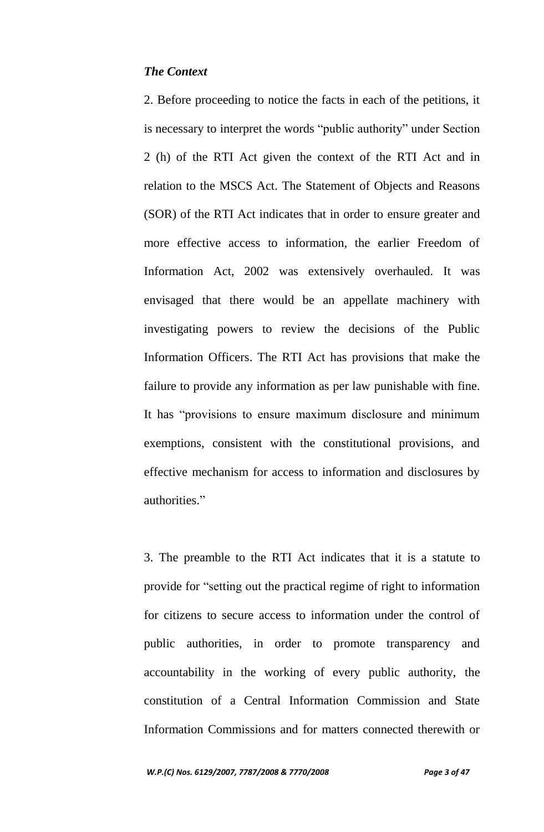## *The Context*

2. Before proceeding to notice the facts in each of the petitions, it is necessary to interpret the words "public authority" under Section 2 (h) of the RTI Act given the context of the RTI Act and in relation to the MSCS Act. The Statement of Objects and Reasons (SOR) of the RTI Act indicates that in order to ensure greater and more effective access to information, the earlier Freedom of Information Act, 2002 was extensively overhauled. It was envisaged that there would be an appellate machinery with investigating powers to review the decisions of the Public Information Officers. The RTI Act has provisions that make the failure to provide any information as per law punishable with fine. It has "provisions to ensure maximum disclosure and minimum exemptions, consistent with the constitutional provisions, and effective mechanism for access to information and disclosures by authorities."

3. The preamble to the RTI Act indicates that it is a statute to provide for "setting out the practical regime of right to information for citizens to secure access to information under the control of public authorities, in order to promote transparency and accountability in the working of every public authority, the constitution of a Central Information Commission and State Information Commissions and for matters connected therewith or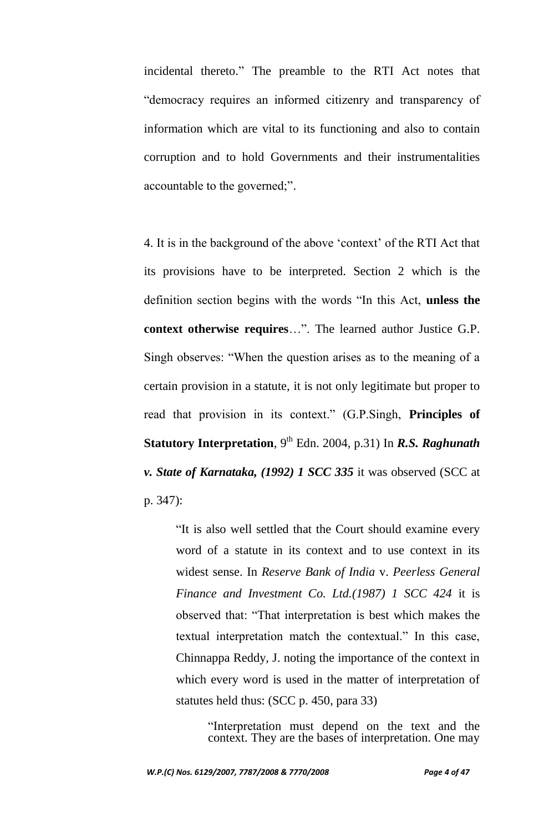incidental thereto." The preamble to the RTI Act notes that "democracy requires an informed citizenry and transparency of information which are vital to its functioning and also to contain corruption and to hold Governments and their instrumentalities accountable to the governed;".

4. It is in the background of the above "context" of the RTI Act that its provisions have to be interpreted. Section 2 which is the definition section begins with the words "In this Act, **unless the context otherwise requires**…". The learned author Justice G.P. Singh observes: "When the question arises as to the meaning of a certain provision in a statute, it is not only legitimate but proper to read that provision in its context." (G.P.Singh, **Principles of Statutory Interpretation**, 9<sup>th</sup> Edn. 2004, p.31) In *R.S. Raghunath v. State of Karnataka, (1992) 1 SCC 335* it was observed (SCC at p. 347):

"It is also well settled that the Court should examine every word of a statute in its context and to use context in its widest sense. In *Reserve Bank of India* v. *Peerless General Finance and Investment Co. Ltd.(1987) 1 SCC 424* it is observed that: "That interpretation is best which makes the textual interpretation match the contextual." In this case, Chinnappa Reddy, J. noting the importance of the context in which every word is used in the matter of interpretation of statutes held thus: (SCC p. 450, para 33)

> "Interpretation must depend on the text and the context. They are the bases of interpretation. One may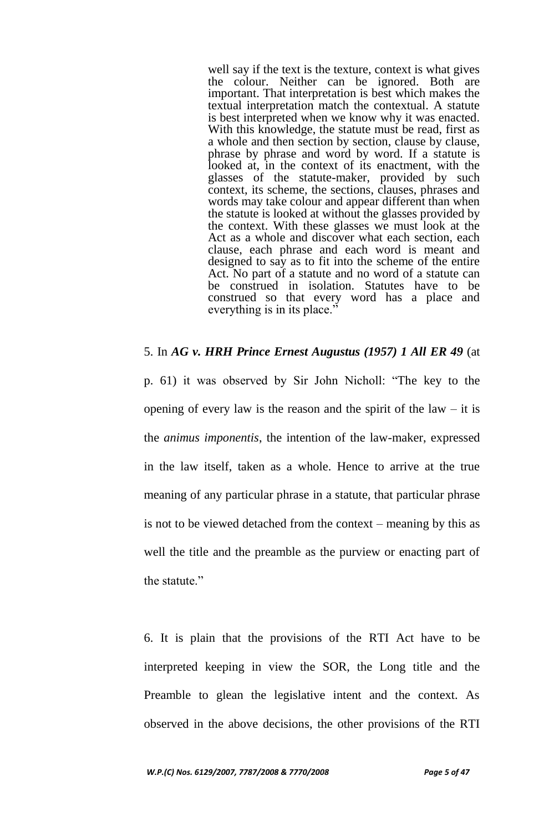well say if the text is the texture, context is what gives the colour. Neither can be ignored. Both are important. That interpretation is best which makes the textual interpretation match the contextual. A statute is best interpreted when we know why it was enacted. With this knowledge, the statute must be read, first as a whole and then section by section, clause by clause, phrase by phrase and word by word. If a statute is looked at, in the context of its enactment, with the glasses of the statute-maker, provided by such context, its scheme, the sections, clauses, phrases and words may take colour and appear different than when the statute is looked at without the glasses provided by the context. With these glasses we must look at the Act as a whole and discover what each section, each clause, each phrase and each word is meant and designed to say as to fit into the scheme of the entire Act. No part of a statute and no word of a statute can be construed in isolation. Statutes have to be construed so that every word has a place and everything is in its place.'

### 5. In *AG v. HRH Prince Ernest Augustus (1957) 1 All ER 49* (at

p. 61) it was observed by Sir John Nicholl: "The key to the opening of every law is the reason and the spirit of the law  $-$  it is the *animus imponentis*, the intention of the law-maker, expressed in the law itself, taken as a whole. Hence to arrive at the true meaning of any particular phrase in a statute, that particular phrase is not to be viewed detached from the context – meaning by this as well the title and the preamble as the purview or enacting part of the statute."

6. It is plain that the provisions of the RTI Act have to be interpreted keeping in view the SOR, the Long title and the Preamble to glean the legislative intent and the context. As observed in the above decisions, the other provisions of the RTI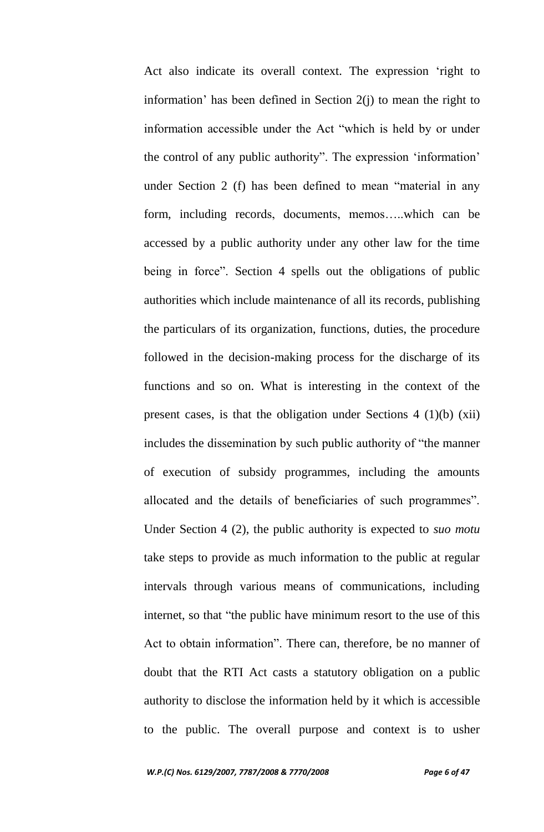Act also indicate its overall context. The expression "right to information' has been defined in Section  $2(i)$  to mean the right to information accessible under the Act "which is held by or under the control of any public authority". The expression "information" under Section 2 (f) has been defined to mean "material in any form, including records, documents, memos…..which can be accessed by a public authority under any other law for the time being in force". Section 4 spells out the obligations of public authorities which include maintenance of all its records, publishing the particulars of its organization, functions, duties, the procedure followed in the decision-making process for the discharge of its functions and so on. What is interesting in the context of the present cases, is that the obligation under Sections 4 (1)(b) (xii) includes the dissemination by such public authority of "the manner of execution of subsidy programmes, including the amounts allocated and the details of beneficiaries of such programmes". Under Section 4 (2), the public authority is expected to *suo motu*  take steps to provide as much information to the public at regular intervals through various means of communications, including internet, so that "the public have minimum resort to the use of this Act to obtain information". There can, therefore, be no manner of doubt that the RTI Act casts a statutory obligation on a public authority to disclose the information held by it which is accessible to the public. The overall purpose and context is to usher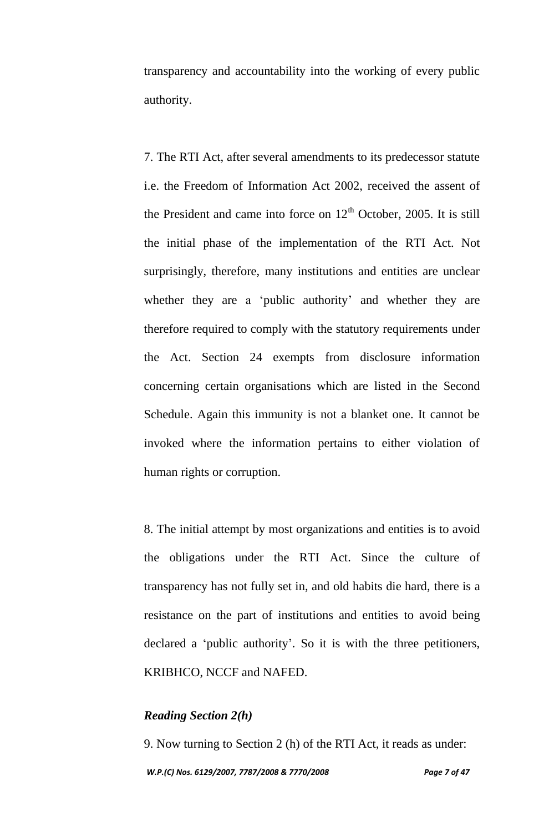transparency and accountability into the working of every public authority.

7. The RTI Act, after several amendments to its predecessor statute i.e. the Freedom of Information Act 2002, received the assent of the President and came into force on  $12<sup>th</sup>$  October, 2005. It is still the initial phase of the implementation of the RTI Act. Not surprisingly, therefore, many institutions and entities are unclear whether they are a 'public authority' and whether they are therefore required to comply with the statutory requirements under the Act. Section 24 exempts from disclosure information concerning certain organisations which are listed in the Second Schedule. Again this immunity is not a blanket one. It cannot be invoked where the information pertains to either violation of human rights or corruption.

8. The initial attempt by most organizations and entities is to avoid the obligations under the RTI Act. Since the culture of transparency has not fully set in, and old habits die hard, there is a resistance on the part of institutions and entities to avoid being declared a 'public authority'. So it is with the three petitioners, KRIBHCO, NCCF and NAFED.

## *Reading Section 2(h)*

*W.P.(C) Nos. 6129/2007, 7787/2008 & 7770/2008 Page 7 of 47* 9. Now turning to Section 2 (h) of the RTI Act, it reads as under: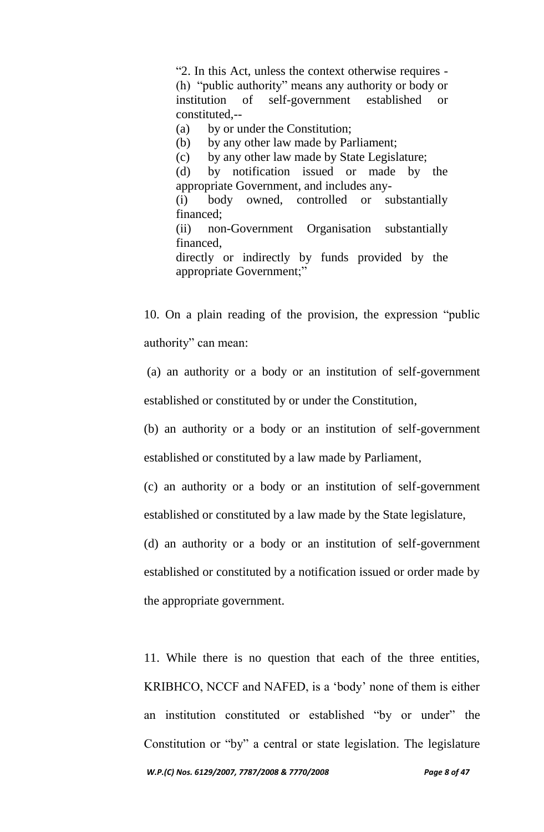"2. In this Act, unless the context otherwise requires - (h) "public authority" means any authority or body or institution of self-government established or constituted --

(a) by or under the Constitution;

(b) by any other law made by Parliament;

(c) by any other law made by State Legislature;

(d) by notification issued or made by the appropriate Government, and includes any-

(i) body owned, controlled or substantially financed;

(ii) non-Government Organisation substantially financed,

directly or indirectly by funds provided by the appropriate Government;"

10. On a plain reading of the provision, the expression "public authority" can mean:

(a) an authority or a body or an institution of self-government established or constituted by or under the Constitution,

(b) an authority or a body or an institution of self-government established or constituted by a law made by Parliament,

(c) an authority or a body or an institution of self-government established or constituted by a law made by the State legislature,

(d) an authority or a body or an institution of self-government established or constituted by a notification issued or order made by the appropriate government.

11. While there is no question that each of the three entities, KRIBHCO, NCCF and NAFED, is a "body" none of them is either an institution constituted or established "by or under" the Constitution or "by" a central or state legislation. The legislature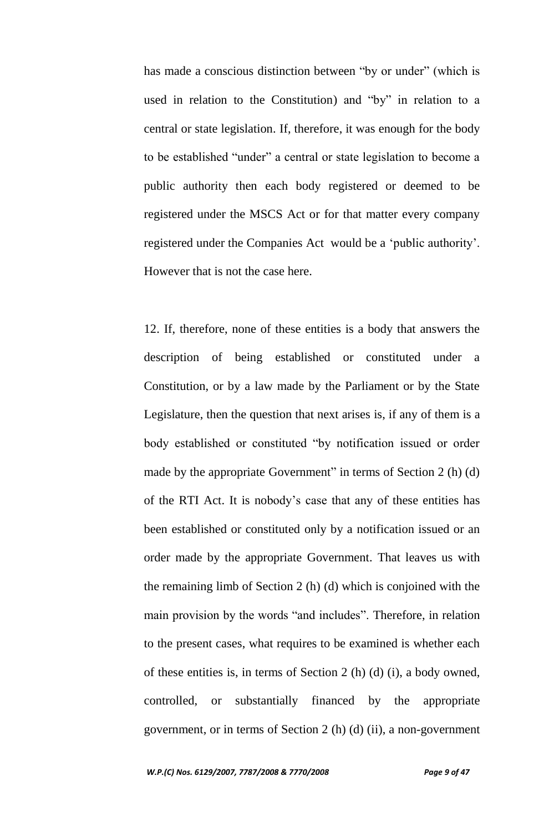has made a conscious distinction between "by or under" (which is used in relation to the Constitution) and "by" in relation to a central or state legislation. If, therefore, it was enough for the body to be established "under" a central or state legislation to become a public authority then each body registered or deemed to be registered under the MSCS Act or for that matter every company registered under the Companies Act would be a "public authority". However that is not the case here.

12. If, therefore, none of these entities is a body that answers the description of being established or constituted under a Constitution, or by a law made by the Parliament or by the State Legislature, then the question that next arises is, if any of them is a body established or constituted "by notification issued or order made by the appropriate Government" in terms of Section 2 (h) (d) of the RTI Act. It is nobody"s case that any of these entities has been established or constituted only by a notification issued or an order made by the appropriate Government. That leaves us with the remaining limb of Section 2 (h) (d) which is conjoined with the main provision by the words "and includes". Therefore, in relation to the present cases, what requires to be examined is whether each of these entities is, in terms of Section 2 (h) (d) (i), a body owned, controlled, or substantially financed by the appropriate government, or in terms of Section 2 (h) (d) (ii), a non-government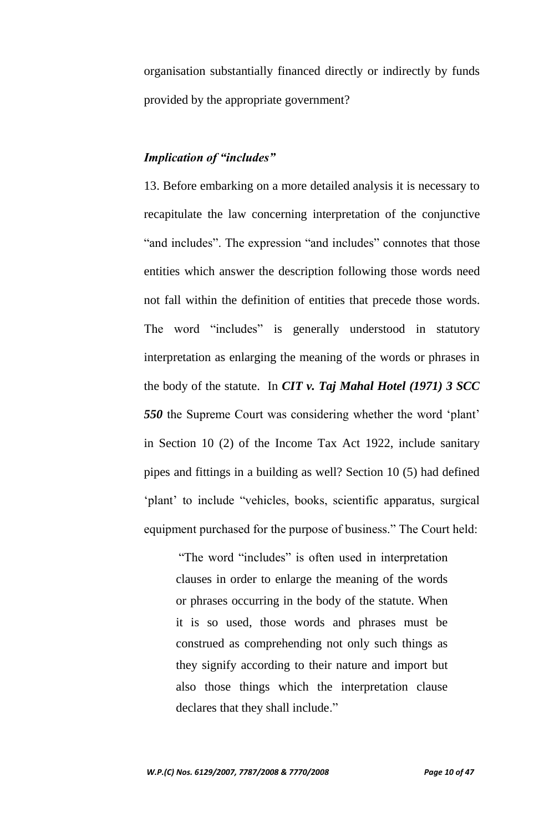organisation substantially financed directly or indirectly by funds provided by the appropriate government?

## *Implication of "includes"*

13. Before embarking on a more detailed analysis it is necessary to recapitulate the law concerning interpretation of the conjunctive "and includes". The expression "and includes" connotes that those entities which answer the description following those words need not fall within the definition of entities that precede those words. The word "includes" is generally understood in statutory interpretation as enlarging the meaning of the words or phrases in the body of the statute. In *CIT v. Taj Mahal Hotel (1971) 3 SCC 550* the Supreme Court was considering whether the word "plant" in Section 10 (2) of the Income Tax Act 1922, include sanitary pipes and fittings in a building as well? Section 10 (5) had defined 'plant' to include "vehicles, books, scientific apparatus, surgical equipment purchased for the purpose of business." The Court held:

"The word "includes" is often used in interpretation clauses in order to enlarge the meaning of the words or phrases occurring in the body of the statute. When it is so used, those words and phrases must be construed as comprehending not only such things as they signify according to their nature and import but also those things which the interpretation clause declares that they shall include."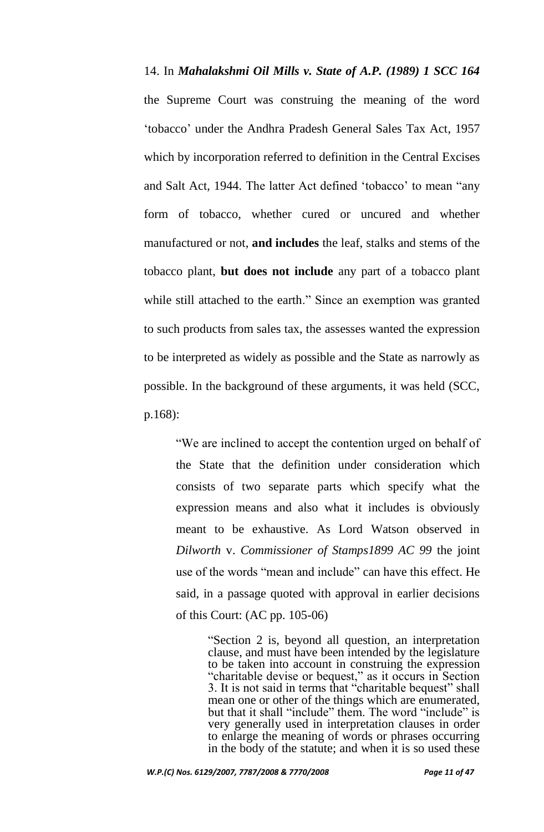14. In *Mahalakshmi Oil Mills v. State of A.P. (1989) 1 SCC 164* the Supreme Court was construing the meaning of the word "tobacco" under the Andhra Pradesh General Sales Tax Act, 1957 which by incorporation referred to definition in the Central Excises and Salt Act, 1944. The latter Act defined "tobacco" to mean "any form of tobacco, whether cured or uncured and whether manufactured or not, **and includes** the leaf, stalks and stems of the tobacco plant, **but does not include** any part of a tobacco plant while still attached to the earth." Since an exemption was granted to such products from sales tax, the assesses wanted the expression to be interpreted as widely as possible and the State as narrowly as possible. In the background of these arguments, it was held (SCC, p.168):

"We are inclined to accept the contention urged on behalf of the State that the definition under consideration which consists of two separate parts which specify what the expression means and also what it includes is obviously meant to be exhaustive. As Lord Watson observed in *Dilworth* v. *Commissioner of Stamps1899 AC 99* the joint use of the words "mean and include" can have this effect. He said, in a passage quoted with approval in earlier decisions of this Court: (AC pp. 105-06)

> "Section 2 is, beyond all question, an interpretation clause, and must have been intended by the legislature to be taken into account in construing the expression "charitable devise or bequest," as it occurs in Section 3. It is not said in terms that "charitable bequest" shall mean one or other of the things which are enumerated, but that it shall "include" them. The word "include" is very generally used in interpretation clauses in order to enlarge the meaning of words or phrases occurring in the body of the statute; and when it is so used these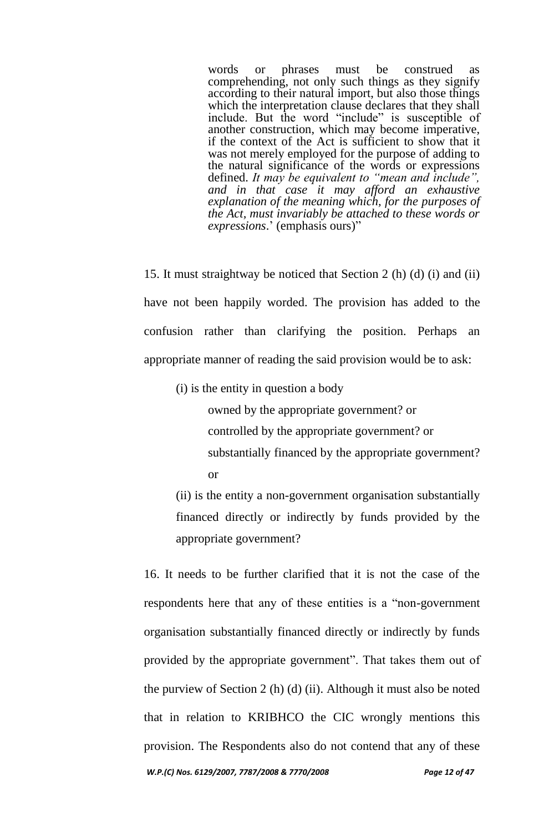words or phrases must be construed as comprehending, not only such things as they signify according to their natural import, but also those things which the interpretation clause declares that they shall include. But the word "include" is susceptible of another construction, which may become imperative, if the context of the Act is sufficient to show that it was not merely employed for the purpose of adding to the natural significance of the words or expressions defined. *It may be equivalent to "mean and include", and in that case it may afford an exhaustive explanation of the meaning which, for the purposes of the Act, must invariably be attached to these words or expressions*." (emphasis ours)"

15. It must straightway be noticed that Section 2 (h) (d) (i) and (ii) have not been happily worded. The provision has added to the confusion rather than clarifying the position. Perhaps an appropriate manner of reading the said provision would be to ask:

(i) is the entity in question a body

owned by the appropriate government? or controlled by the appropriate government? or substantially financed by the appropriate government? or

(ii) is the entity a non-government organisation substantially financed directly or indirectly by funds provided by the appropriate government?

*W.P.(C) Nos. 6129/2007, 7787/2008 & 7770/2008 Page 12 of 47* 16. It needs to be further clarified that it is not the case of the respondents here that any of these entities is a "non-government organisation substantially financed directly or indirectly by funds provided by the appropriate government". That takes them out of the purview of Section 2 (h) (d) (ii). Although it must also be noted that in relation to KRIBHCO the CIC wrongly mentions this provision. The Respondents also do not contend that any of these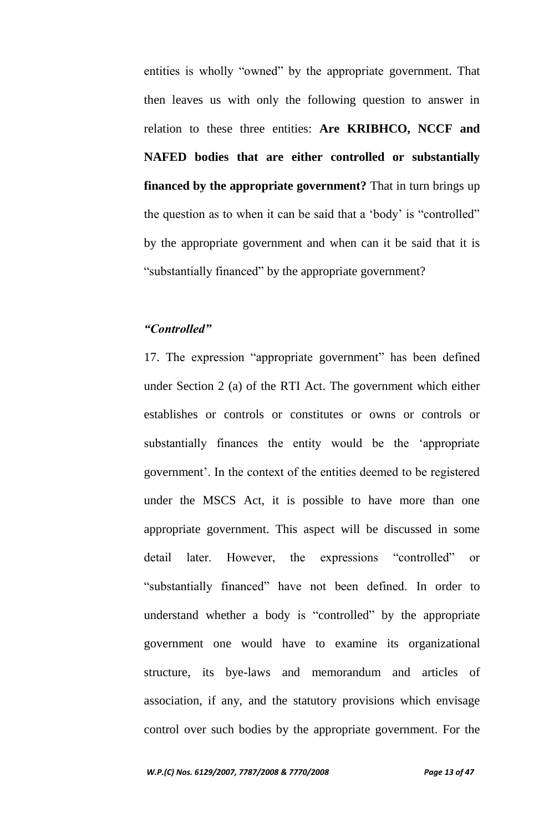entities is wholly "owned" by the appropriate government. That then leaves us with only the following question to answer in relation to these three entities: **Are KRIBHCO, NCCF and NAFED bodies that are either controlled or substantially financed by the appropriate government?** That in turn brings up the question as to when it can be said that a "body" is "controlled" by the appropriate government and when can it be said that it is "substantially financed" by the appropriate government?

### *"Controlled"*

17. The expression "appropriate government" has been defined under Section 2 (a) of the RTI Act. The government which either establishes or controls or constitutes or owns or controls or substantially finances the entity would be the "appropriate government". In the context of the entities deemed to be registered under the MSCS Act, it is possible to have more than one appropriate government. This aspect will be discussed in some detail later. However, the expressions "controlled" or "substantially financed" have not been defined. In order to understand whether a body is "controlled" by the appropriate government one would have to examine its organizational structure, its bye-laws and memorandum and articles of association, if any, and the statutory provisions which envisage control over such bodies by the appropriate government. For the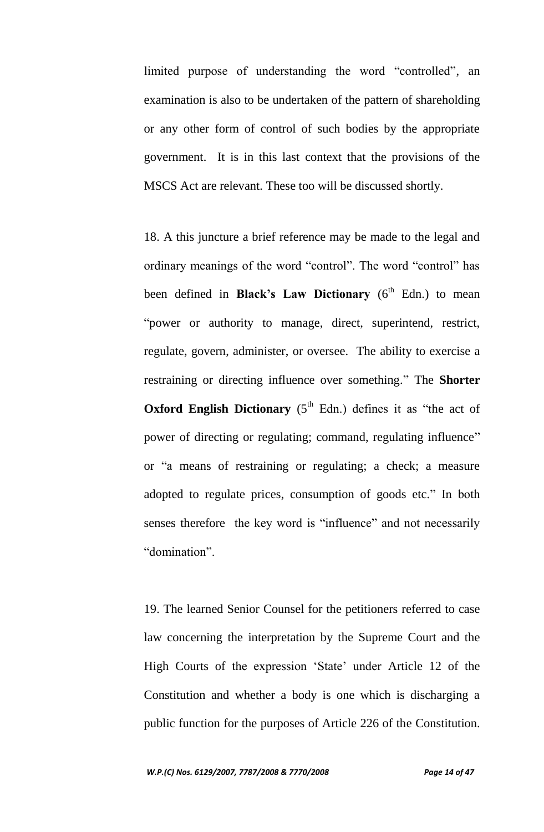limited purpose of understanding the word "controlled", an examination is also to be undertaken of the pattern of shareholding or any other form of control of such bodies by the appropriate government. It is in this last context that the provisions of the MSCS Act are relevant. These too will be discussed shortly.

18. A this juncture a brief reference may be made to the legal and ordinary meanings of the word "control". The word "control" has been defined in **Black's Law Dictionary** (6<sup>th</sup> Edn.) to mean "power or authority to manage, direct, superintend, restrict, regulate, govern, administer, or oversee. The ability to exercise a restraining or directing influence over something." The **Shorter Oxford English Dictionary**  $(5<sup>th</sup>$  Edn.) defines it as "the act of power of directing or regulating; command, regulating influence" or "a means of restraining or regulating; a check; a measure adopted to regulate prices, consumption of goods etc." In both senses therefore the key word is "influence" and not necessarily "domination".

19. The learned Senior Counsel for the petitioners referred to case law concerning the interpretation by the Supreme Court and the High Courts of the expression 'State' under Article 12 of the Constitution and whether a body is one which is discharging a public function for the purposes of Article 226 of the Constitution.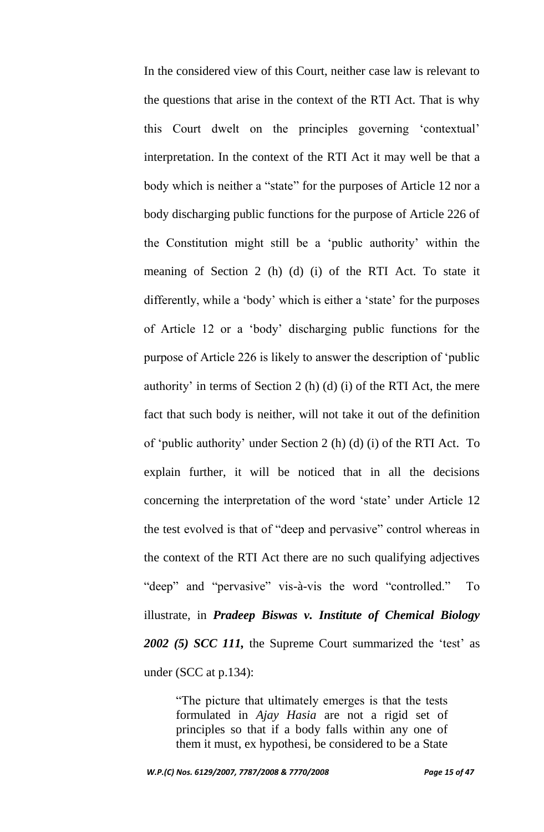In the considered view of this Court, neither case law is relevant to the questions that arise in the context of the RTI Act. That is why this Court dwelt on the principles governing "contextual" interpretation. In the context of the RTI Act it may well be that a body which is neither a "state" for the purposes of Article 12 nor a body discharging public functions for the purpose of Article 226 of the Constitution might still be a "public authority" within the meaning of Section 2 (h) (d) (i) of the RTI Act. To state it differently, while a 'body' which is either a 'state' for the purposes of Article 12 or a "body" discharging public functions for the purpose of Article 226 is likely to answer the description of "public authority' in terms of Section 2 (h) (d) (i) of the RTI Act, the mere fact that such body is neither, will not take it out of the definition of "public authority" under Section 2 (h) (d) (i) of the RTI Act. To explain further, it will be noticed that in all the decisions concerning the interpretation of the word "state" under Article 12 the test evolved is that of "deep and pervasive" control whereas in the context of the RTI Act there are no such qualifying adjectives "deep" and "pervasive" vis-à-vis the word "controlled." To illustrate, in *Pradeep Biswas v. Institute of Chemical Biology*  2002 (5) *SCC 111*, the Supreme Court summarized the 'test' as under (SCC at p.134):

"The picture that ultimately emerges is that the tests formulated in *Ajay Hasia* are not a rigid set of principles so that if a body falls within any one of them it must, ex hypothesi, be considered to be a State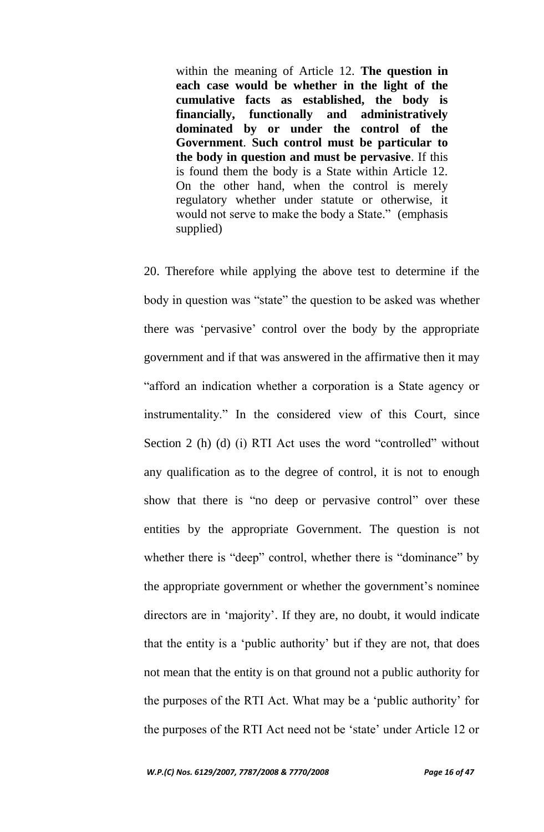within the meaning of Article 12. **The question in each case would be whether in the light of the cumulative facts as established, the body is financially, functionally and administratively dominated by or under the control of the Government**. **Such control must be particular to the body in question and must be pervasive**. If this is found them the body is a State within Article 12. On the other hand, when the control is merely regulatory whether under statute or otherwise, it would not serve to make the body a State." (emphasis supplied)

20. Therefore while applying the above test to determine if the body in question was "state" the question to be asked was whether there was "pervasive" control over the body by the appropriate government and if that was answered in the affirmative then it may "afford an indication whether a corporation is a State agency or instrumentality." In the considered view of this Court, since Section 2 (h) (d) (i) RTI Act uses the word "controlled" without any qualification as to the degree of control, it is not to enough show that there is "no deep or pervasive control" over these entities by the appropriate Government. The question is not whether there is "deep" control, whether there is "dominance" by the appropriate government or whether the government's nominee directors are in "majority". If they are, no doubt, it would indicate that the entity is a "public authority" but if they are not, that does not mean that the entity is on that ground not a public authority for the purposes of the RTI Act. What may be a "public authority" for the purposes of the RTI Act need not be "state" under Article 12 or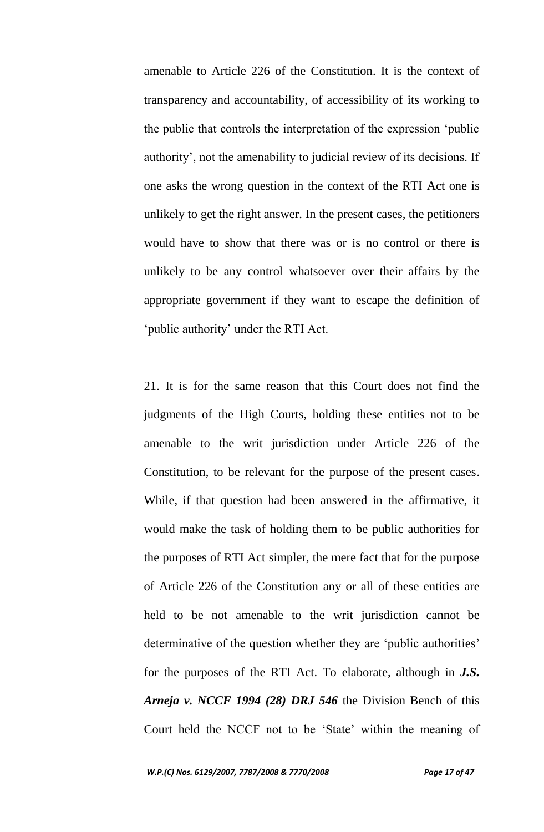amenable to Article 226 of the Constitution. It is the context of transparency and accountability, of accessibility of its working to the public that controls the interpretation of the expression "public authority", not the amenability to judicial review of its decisions. If one asks the wrong question in the context of the RTI Act one is unlikely to get the right answer. In the present cases, the petitioners would have to show that there was or is no control or there is unlikely to be any control whatsoever over their affairs by the appropriate government if they want to escape the definition of "public authority" under the RTI Act.

21. It is for the same reason that this Court does not find the judgments of the High Courts, holding these entities not to be amenable to the writ jurisdiction under Article 226 of the Constitution, to be relevant for the purpose of the present cases. While, if that question had been answered in the affirmative, it would make the task of holding them to be public authorities for the purposes of RTI Act simpler, the mere fact that for the purpose of Article 226 of the Constitution any or all of these entities are held to be not amenable to the writ jurisdiction cannot be determinative of the question whether they are 'public authorities' for the purposes of the RTI Act. To elaborate, although in *J.S. Arneja v. NCCF 1994 (28) DRJ 546* the Division Bench of this Court held the NCCF not to be "State" within the meaning of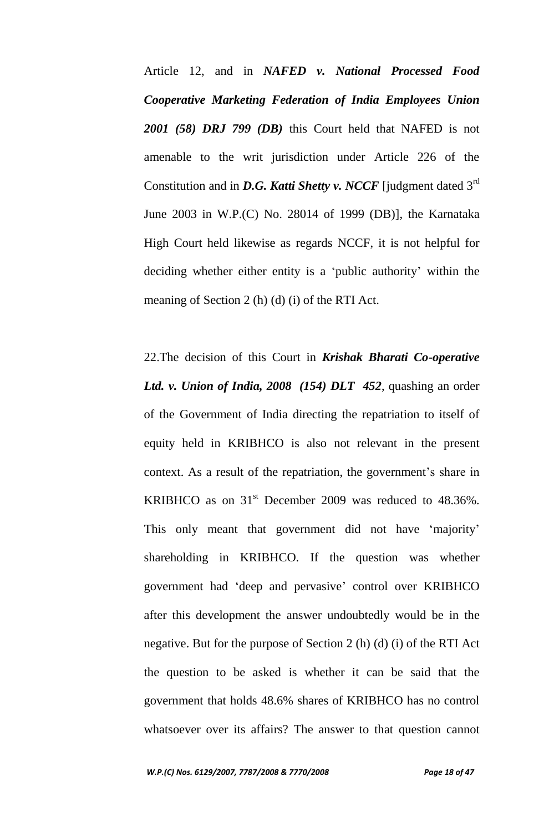Article 12, and in *NAFED v. National Processed Food Cooperative Marketing Federation of India Employees Union 2001 (58) DRJ 799 (DB)* this Court held that NAFED is not amenable to the writ jurisdiction under Article 226 of the Constitution and in *D.G. Katti Shetty v. NCCF* [judgment dated 3rd June 2003 in W.P.(C) No. 28014 of 1999 (DB)], the Karnataka High Court held likewise as regards NCCF, it is not helpful for deciding whether either entity is a "public authority" within the meaning of Section 2 (h) (d) (i) of the RTI Act.

22.The decision of this Court in *Krishak Bharati Co-operative Ltd. v. Union of India, 2008 (154) DLT 452*, quashing an order of the Government of India directing the repatriation to itself of equity held in KRIBHCO is also not relevant in the present context. As a result of the repatriation, the government's share in KRIBHCO as on  $31<sup>st</sup>$  December 2009 was reduced to 48.36%. This only meant that government did not have 'majority' shareholding in KRIBHCO. If the question was whether government had "deep and pervasive" control over KRIBHCO after this development the answer undoubtedly would be in the negative. But for the purpose of Section 2 (h) (d) (i) of the RTI Act the question to be asked is whether it can be said that the government that holds 48.6% shares of KRIBHCO has no control whatsoever over its affairs? The answer to that question cannot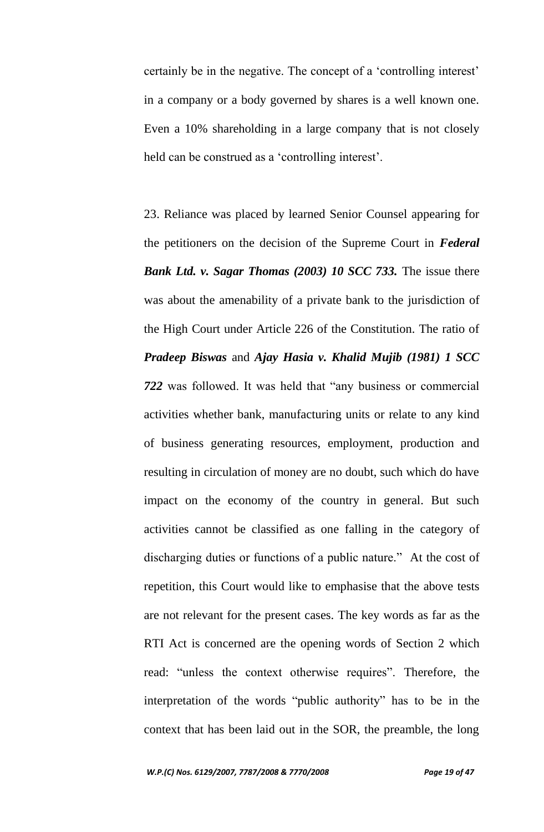certainly be in the negative. The concept of a "controlling interest" in a company or a body governed by shares is a well known one. Even a 10% shareholding in a large company that is not closely held can be construed as a 'controlling interest'.

23. Reliance was placed by learned Senior Counsel appearing for the petitioners on the decision of the Supreme Court in *Federal Bank Ltd. v. Sagar Thomas (2003) 10 SCC 733.* The issue there was about the amenability of a private bank to the jurisdiction of the High Court under Article 226 of the Constitution. The ratio of *Pradeep Biswas* and *Ajay Hasia v. Khalid Mujib (1981) 1 SCC 722* was followed. It was held that "any business or commercial activities whether bank, manufacturing units or relate to any kind of business generating resources, employment, production and resulting in circulation of money are no doubt, such which do have impact on the economy of the country in general. But such activities cannot be classified as one falling in the category of discharging duties or functions of a public nature." At the cost of repetition, this Court would like to emphasise that the above tests are not relevant for the present cases. The key words as far as the RTI Act is concerned are the opening words of Section 2 which read: "unless the context otherwise requires". Therefore, the interpretation of the words "public authority" has to be in the context that has been laid out in the SOR, the preamble, the long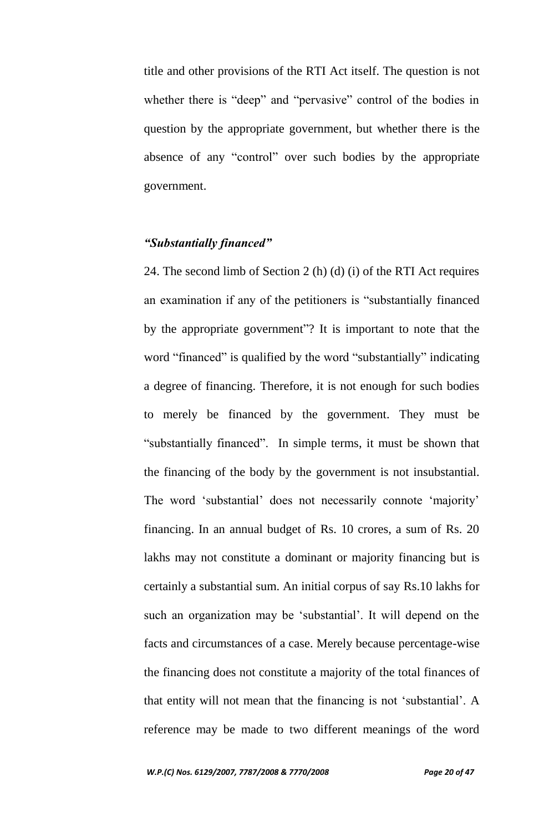title and other provisions of the RTI Act itself. The question is not whether there is "deep" and "pervasive" control of the bodies in question by the appropriate government, but whether there is the absence of any "control" over such bodies by the appropriate government.

### *"Substantially financed"*

24. The second limb of Section 2 (h) (d) (i) of the RTI Act requires an examination if any of the petitioners is "substantially financed by the appropriate government"? It is important to note that the word "financed" is qualified by the word "substantially" indicating a degree of financing. Therefore, it is not enough for such bodies to merely be financed by the government. They must be "substantially financed". In simple terms, it must be shown that the financing of the body by the government is not insubstantial. The word 'substantial' does not necessarily connote 'majority' financing. In an annual budget of Rs. 10 crores, a sum of Rs. 20 lakhs may not constitute a dominant or majority financing but is certainly a substantial sum. An initial corpus of say Rs.10 lakhs for such an organization may be 'substantial'. It will depend on the facts and circumstances of a case. Merely because percentage-wise the financing does not constitute a majority of the total finances of that entity will not mean that the financing is not "substantial". A reference may be made to two different meanings of the word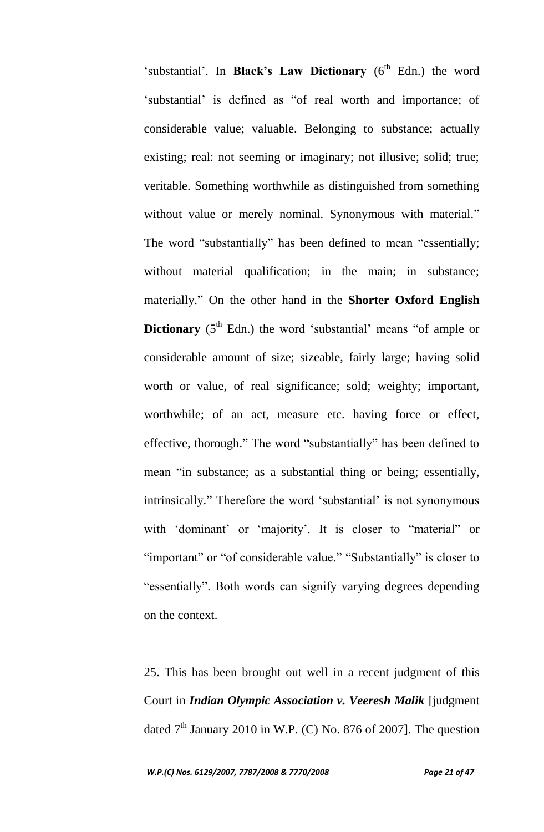'substantial'. In **Black's Law Dictionary** (6<sup>th</sup> Edn.) the word "substantial" is defined as "of real worth and importance; of considerable value; valuable. Belonging to substance; actually existing; real: not seeming or imaginary; not illusive; solid; true; veritable. Something worthwhile as distinguished from something without value or merely nominal. Synonymous with material." The word "substantially" has been defined to mean "essentially; without material qualification; in the main; in substance; materially." On the other hand in the **Shorter Oxford English Dictionary** (5<sup>th</sup> Edn.) the word 'substantial' means "of ample or considerable amount of size; sizeable, fairly large; having solid worth or value, of real significance; sold; weighty; important, worthwhile; of an act, measure etc. having force or effect, effective, thorough." The word "substantially" has been defined to mean "in substance; as a substantial thing or being; essentially, intrinsically." Therefore the word 'substantial' is not synonymous with 'dominant' or 'majority'. It is closer to "material" or "important" or "of considerable value." "Substantially" is closer to "essentially". Both words can signify varying degrees depending on the context.

25. This has been brought out well in a recent judgment of this Court in *Indian Olympic Association v. Veeresh Malik* [judgment dated  $7<sup>th</sup>$  January 2010 in W.P. (C) No. 876 of 2007]. The question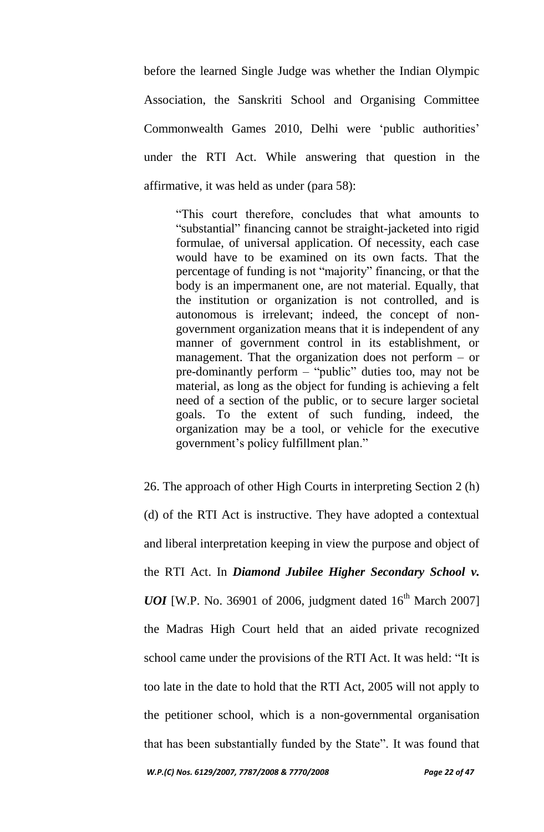before the learned Single Judge was whether the Indian Olympic Association, the Sanskriti School and Organising Committee Commonwealth Games 2010, Delhi were "public authorities" under the RTI Act. While answering that question in the affirmative, it was held as under (para 58):

"This court therefore, concludes that what amounts to "substantial" financing cannot be straight-jacketed into rigid formulae, of universal application. Of necessity, each case would have to be examined on its own facts. That the percentage of funding is not "majority" financing, or that the body is an impermanent one, are not material. Equally, that the institution or organization is not controlled, and is autonomous is irrelevant; indeed, the concept of nongovernment organization means that it is independent of any manner of government control in its establishment, or management. That the organization does not perform – or pre-dominantly perform – "public" duties too, may not be material, as long as the object for funding is achieving a felt need of a section of the public, or to secure larger societal goals. To the extent of such funding, indeed, the organization may be a tool, or vehicle for the executive government"s policy fulfillment plan."

26. The approach of other High Courts in interpreting Section 2 (h) (d) of the RTI Act is instructive. They have adopted a contextual and liberal interpretation keeping in view the purpose and object of the RTI Act. In *Diamond Jubilee Higher Secondary School v. UOI* [W.P. No. 36901 of 2006, judgment dated  $16^{th}$  March 2007] the Madras High Court held that an aided private recognized school came under the provisions of the RTI Act. It was held: "It is too late in the date to hold that the RTI Act, 2005 will not apply to the petitioner school, which is a non-governmental organisation that has been substantially funded by the State". It was found that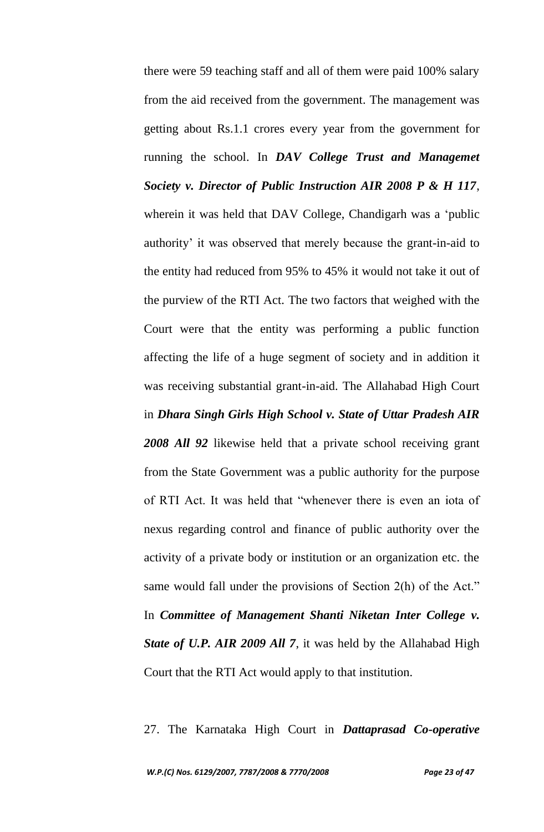there were 59 teaching staff and all of them were paid 100% salary from the aid received from the government. The management was getting about Rs.1.1 crores every year from the government for running the school. In *DAV College Trust and Managemet Society v. Director of Public Instruction AIR 2008 P & H 117*, wherein it was held that DAV College, Chandigarh was a "public authority' it was observed that merely because the grant-in-aid to the entity had reduced from 95% to 45% it would not take it out of the purview of the RTI Act. The two factors that weighed with the Court were that the entity was performing a public function affecting the life of a huge segment of society and in addition it was receiving substantial grant-in-aid. The Allahabad High Court in *Dhara Singh Girls High School v. State of Uttar Pradesh AIR 2008 All 92* likewise held that a private school receiving grant from the State Government was a public authority for the purpose of RTI Act. It was held that "whenever there is even an iota of nexus regarding control and finance of public authority over the activity of a private body or institution or an organization etc. the same would fall under the provisions of Section 2(h) of the Act." In *Committee of Management Shanti Niketan Inter College v. State of U.P. AIR 2009 All 7*, it was held by the Allahabad High Court that the RTI Act would apply to that institution.

27. The Karnataka High Court in *Dattaprasad Co-operative*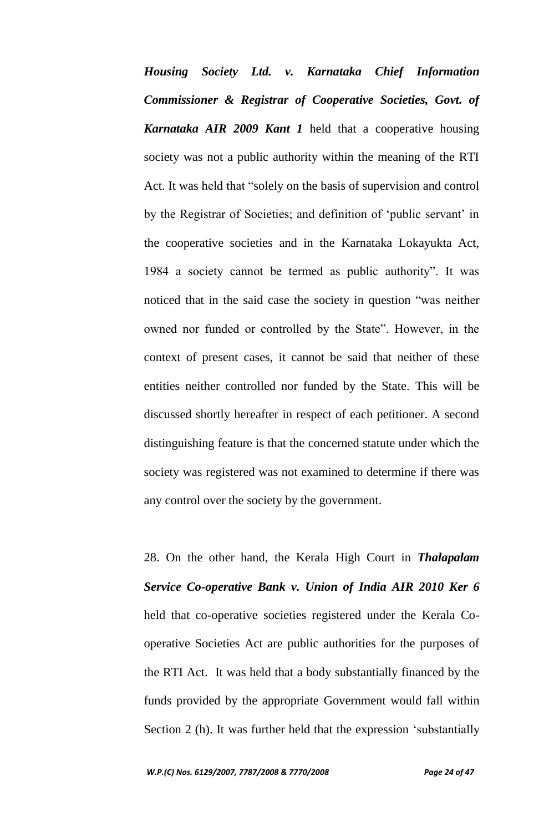*Housing Society Ltd. v. Karnataka Chief Information Commissioner & Registrar of Cooperative Societies, Govt. of Karnataka AIR 2009 Kant 1* held that a cooperative housing society was not a public authority within the meaning of the RTI Act. It was held that "solely on the basis of supervision and control by the Registrar of Societies; and definition of "public servant" in the cooperative societies and in the Karnataka Lokayukta Act, 1984 a society cannot be termed as public authority". It was noticed that in the said case the society in question "was neither owned nor funded or controlled by the State". However, in the context of present cases, it cannot be said that neither of these entities neither controlled nor funded by the State. This will be discussed shortly hereafter in respect of each petitioner. A second distinguishing feature is that the concerned statute under which the society was registered was not examined to determine if there was any control over the society by the government.

28. On the other hand, the Kerala High Court in *Thalapalam Service Co-operative Bank v. Union of India AIR 2010 Ker 6* held that co-operative societies registered under the Kerala Cooperative Societies Act are public authorities for the purposes of the RTI Act. It was held that a body substantially financed by the funds provided by the appropriate Government would fall within Section 2 (h). It was further held that the expression "substantially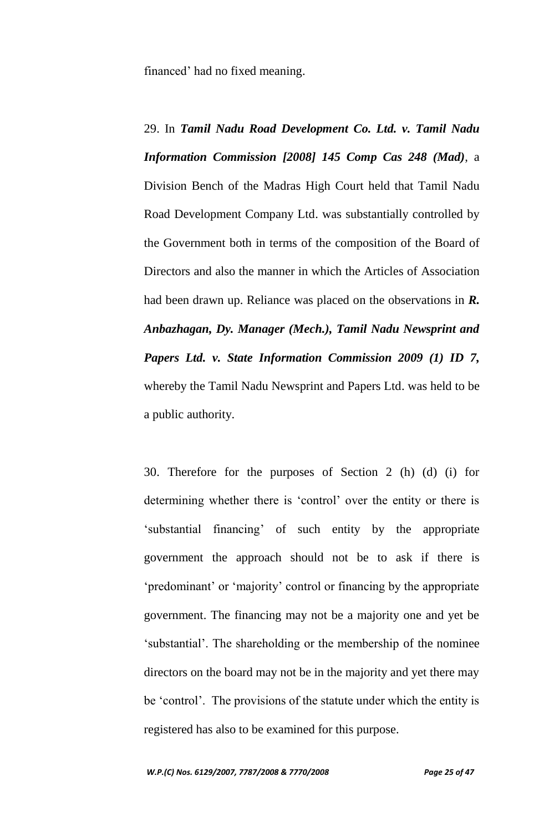financed" had no fixed meaning.

29. In *Tamil Nadu Road Development Co. Ltd. v. Tamil Nadu Information Commission [2008] 145 Comp Cas 248 (Mad)*, a Division Bench of the Madras High Court held that Tamil Nadu Road Development Company Ltd. was substantially controlled by the Government both in terms of the composition of the Board of Directors and also the manner in which the Articles of Association had been drawn up. Reliance was placed on the observations in *R. Anbazhagan, Dy. Manager (Mech.), Tamil Nadu Newsprint and Papers Ltd. v. State Information Commission 2009 (1) ID 7,*  whereby the Tamil Nadu Newsprint and Papers Ltd. was held to be a public authority.

30. Therefore for the purposes of Section 2 (h) (d) (i) for determining whether there is "control" over the entity or there is "substantial financing" of such entity by the appropriate government the approach should not be to ask if there is "predominant" or "majority" control or financing by the appropriate government. The financing may not be a majority one and yet be "substantial". The shareholding or the membership of the nominee directors on the board may not be in the majority and yet there may be 'control'. The provisions of the statute under which the entity is registered has also to be examined for this purpose.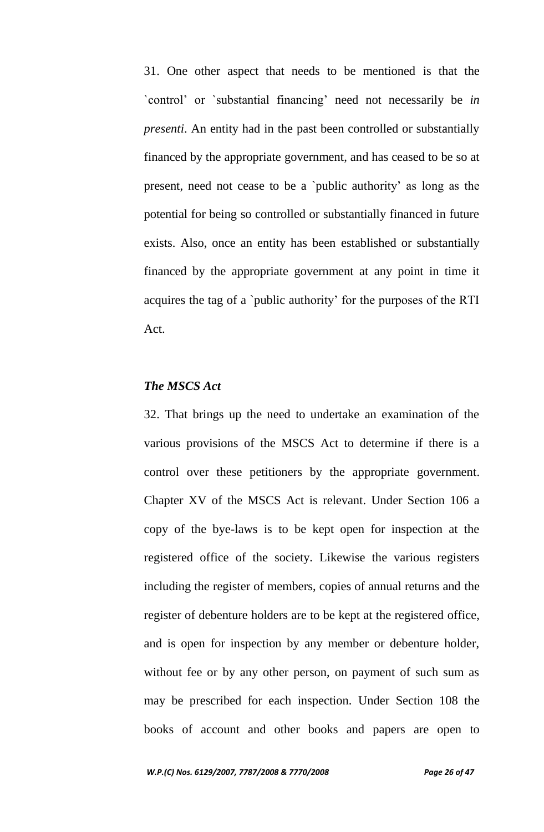31. One other aspect that needs to be mentioned is that the `control" or `substantial financing" need not necessarily be *in presenti*. An entity had in the past been controlled or substantially financed by the appropriate government, and has ceased to be so at present, need not cease to be a `public authority" as long as the potential for being so controlled or substantially financed in future exists. Also, once an entity has been established or substantially financed by the appropriate government at any point in time it acquires the tag of a `public authority" for the purposes of the RTI Act.

## *The MSCS Act*

32. That brings up the need to undertake an examination of the various provisions of the MSCS Act to determine if there is a control over these petitioners by the appropriate government. Chapter XV of the MSCS Act is relevant. Under Section 106 a copy of the bye-laws is to be kept open for inspection at the registered office of the society. Likewise the various registers including the register of members, copies of annual returns and the register of debenture holders are to be kept at the registered office, and is open for inspection by any member or debenture holder, without fee or by any other person, on payment of such sum as may be prescribed for each inspection. Under Section 108 the books of account and other books and papers are open to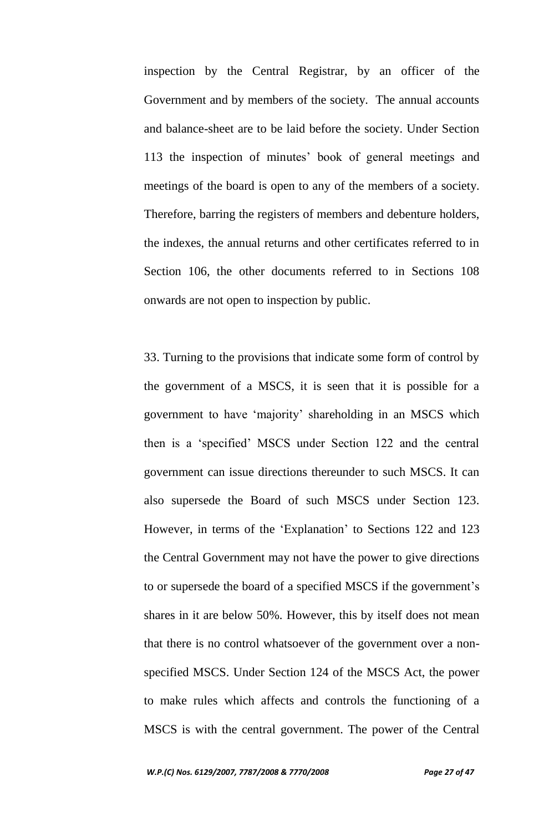inspection by the Central Registrar, by an officer of the Government and by members of the society. The annual accounts and balance-sheet are to be laid before the society. Under Section 113 the inspection of minutes" book of general meetings and meetings of the board is open to any of the members of a society. Therefore, barring the registers of members and debenture holders, the indexes, the annual returns and other certificates referred to in Section 106, the other documents referred to in Sections 108 onwards are not open to inspection by public.

33. Turning to the provisions that indicate some form of control by the government of a MSCS, it is seen that it is possible for a government to have "majority" shareholding in an MSCS which then is a "specified" MSCS under Section 122 and the central government can issue directions thereunder to such MSCS. It can also supersede the Board of such MSCS under Section 123. However, in terms of the 'Explanation' to Sections 122 and 123 the Central Government may not have the power to give directions to or supersede the board of a specified MSCS if the government's shares in it are below 50%. However, this by itself does not mean that there is no control whatsoever of the government over a nonspecified MSCS. Under Section 124 of the MSCS Act, the power to make rules which affects and controls the functioning of a MSCS is with the central government. The power of the Central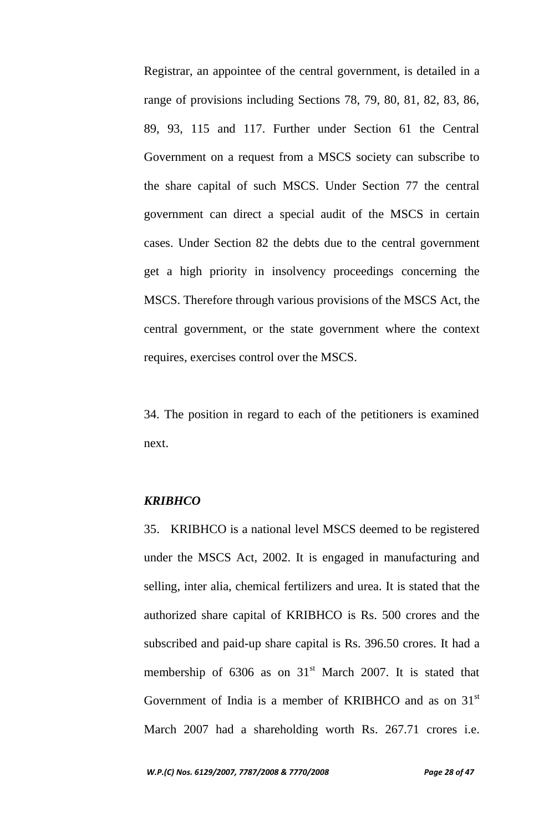Registrar, an appointee of the central government, is detailed in a range of provisions including Sections 78, 79, 80, 81, 82, 83, 86, 89, 93, 115 and 117. Further under Section 61 the Central Government on a request from a MSCS society can subscribe to the share capital of such MSCS. Under Section 77 the central government can direct a special audit of the MSCS in certain cases. Under Section 82 the debts due to the central government get a high priority in insolvency proceedings concerning the MSCS. Therefore through various provisions of the MSCS Act, the central government, or the state government where the context requires, exercises control over the MSCS.

34. The position in regard to each of the petitioners is examined next.

#### *KRIBHCO*

35. KRIBHCO is a national level MSCS deemed to be registered under the MSCS Act, 2002. It is engaged in manufacturing and selling, inter alia, chemical fertilizers and urea. It is stated that the authorized share capital of KRIBHCO is Rs. 500 crores and the subscribed and paid-up share capital is Rs. 396.50 crores. It had a membership of  $6306$  as on  $31<sup>st</sup>$  March 2007. It is stated that Government of India is a member of KRIBHCO and as on  $31<sup>st</sup>$ March 2007 had a shareholding worth Rs. 267.71 crores i.e.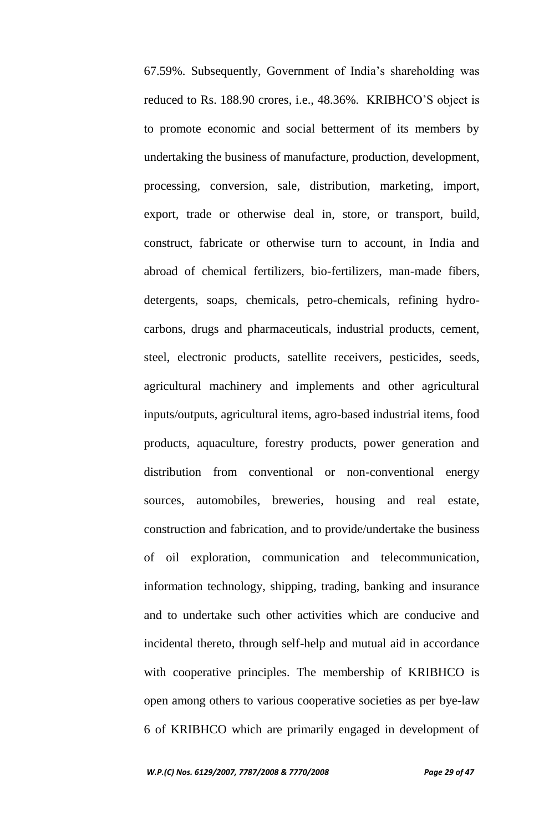67.59%. Subsequently, Government of India"s shareholding was reduced to Rs. 188.90 crores, i.e., 48.36%. KRIBHCO"S object is to promote economic and social betterment of its members by undertaking the business of manufacture, production, development, processing, conversion, sale, distribution, marketing, import, export, trade or otherwise deal in, store, or transport, build, construct, fabricate or otherwise turn to account, in India and abroad of chemical fertilizers, bio-fertilizers, man-made fibers, detergents, soaps, chemicals, petro-chemicals, refining hydrocarbons, drugs and pharmaceuticals, industrial products, cement, steel, electronic products, satellite receivers, pesticides, seeds, agricultural machinery and implements and other agricultural inputs/outputs, agricultural items, agro-based industrial items, food products, aquaculture, forestry products, power generation and distribution from conventional or non-conventional energy sources, automobiles, breweries, housing and real estate, construction and fabrication, and to provide/undertake the business of oil exploration, communication and telecommunication, information technology, shipping, trading, banking and insurance and to undertake such other activities which are conducive and incidental thereto, through self-help and mutual aid in accordance with cooperative principles. The membership of KRIBHCO is open among others to various cooperative societies as per bye-law 6 of KRIBHCO which are primarily engaged in development of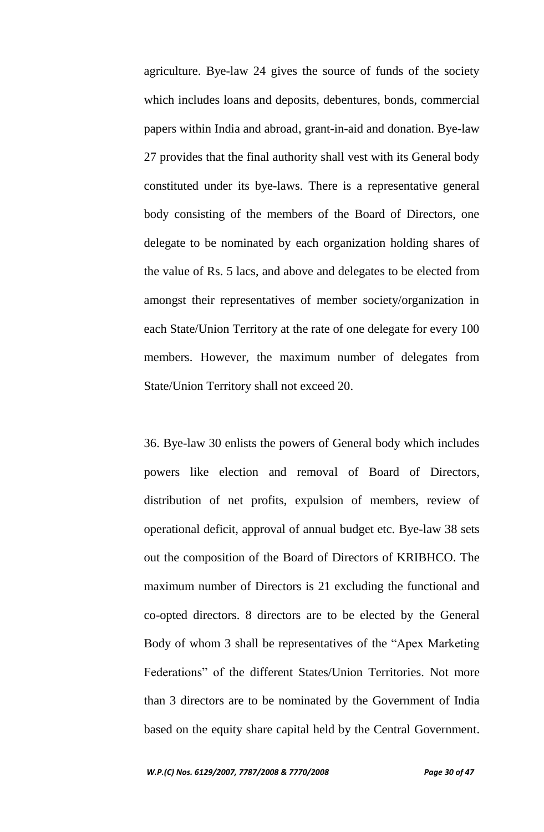agriculture. Bye-law 24 gives the source of funds of the society which includes loans and deposits, debentures, bonds, commercial papers within India and abroad, grant-in-aid and donation. Bye-law 27 provides that the final authority shall vest with its General body constituted under its bye-laws. There is a representative general body consisting of the members of the Board of Directors, one delegate to be nominated by each organization holding shares of the value of Rs. 5 lacs, and above and delegates to be elected from amongst their representatives of member society/organization in each State/Union Territory at the rate of one delegate for every 100 members. However, the maximum number of delegates from State/Union Territory shall not exceed 20.

36. Bye-law 30 enlists the powers of General body which includes powers like election and removal of Board of Directors, distribution of net profits, expulsion of members, review of operational deficit, approval of annual budget etc. Bye-law 38 sets out the composition of the Board of Directors of KRIBHCO. The maximum number of Directors is 21 excluding the functional and co-opted directors. 8 directors are to be elected by the General Body of whom 3 shall be representatives of the "Apex Marketing Federations" of the different States/Union Territories. Not more than 3 directors are to be nominated by the Government of India based on the equity share capital held by the Central Government.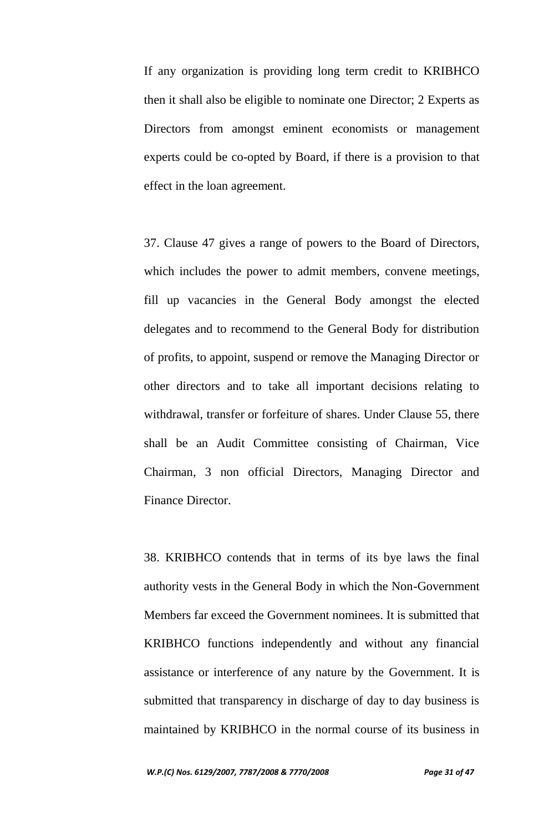If any organization is providing long term credit to KRIBHCO then it shall also be eligible to nominate one Director; 2 Experts as Directors from amongst eminent economists or management experts could be co-opted by Board, if there is a provision to that effect in the loan agreement.

37. Clause 47 gives a range of powers to the Board of Directors, which includes the power to admit members, convene meetings, fill up vacancies in the General Body amongst the elected delegates and to recommend to the General Body for distribution of profits, to appoint, suspend or remove the Managing Director or other directors and to take all important decisions relating to withdrawal, transfer or forfeiture of shares. Under Clause 55, there shall be an Audit Committee consisting of Chairman, Vice Chairman, 3 non official Directors, Managing Director and Finance Director.

38. KRIBHCO contends that in terms of its bye laws the final authority vests in the General Body in which the Non-Government Members far exceed the Government nominees. It is submitted that KRIBHCO functions independently and without any financial assistance or interference of any nature by the Government. It is submitted that transparency in discharge of day to day business is maintained by KRIBHCO in the normal course of its business in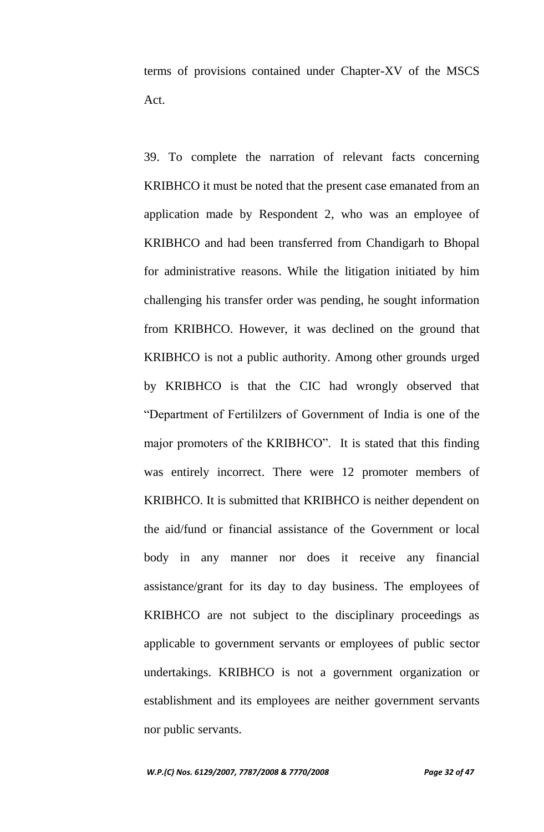terms of provisions contained under Chapter-XV of the MSCS Act.

39. To complete the narration of relevant facts concerning KRIBHCO it must be noted that the present case emanated from an application made by Respondent 2, who was an employee of KRIBHCO and had been transferred from Chandigarh to Bhopal for administrative reasons. While the litigation initiated by him challenging his transfer order was pending, he sought information from KRIBHCO. However, it was declined on the ground that KRIBHCO is not a public authority. Among other grounds urged by KRIBHCO is that the CIC had wrongly observed that "Department of Fertililzers of Government of India is one of the major promoters of the KRIBHCO". It is stated that this finding was entirely incorrect. There were 12 promoter members of KRIBHCO. It is submitted that KRIBHCO is neither dependent on the aid/fund or financial assistance of the Government or local body in any manner nor does it receive any financial assistance/grant for its day to day business. The employees of KRIBHCO are not subject to the disciplinary proceedings as applicable to government servants or employees of public sector undertakings. KRIBHCO is not a government organization or establishment and its employees are neither government servants nor public servants.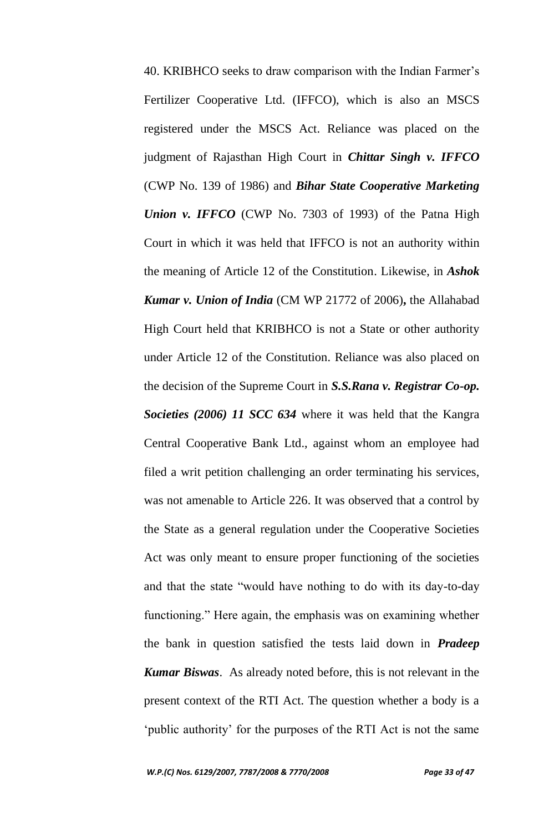40. KRIBHCO seeks to draw comparison with the Indian Farmer"s Fertilizer Cooperative Ltd. (IFFCO), which is also an MSCS registered under the MSCS Act. Reliance was placed on the judgment of Rajasthan High Court in *Chittar Singh v. IFFCO*  (CWP No. 139 of 1986) and *Bihar State Cooperative Marketing Union v. IFFCO* (CWP No. 7303 of 1993) of the Patna High Court in which it was held that IFFCO is not an authority within the meaning of Article 12 of the Constitution. Likewise, in *Ashok Kumar v. Union of India* (CM WP 21772 of 2006)**,** the Allahabad High Court held that KRIBHCO is not a State or other authority under Article 12 of the Constitution. Reliance was also placed on the decision of the Supreme Court in *S.S.Rana v. Registrar Co-op. Societies (2006) 11 SCC 634* where it was held that the Kangra Central Cooperative Bank Ltd., against whom an employee had filed a writ petition challenging an order terminating his services, was not amenable to Article 226. It was observed that a control by the State as a general regulation under the Cooperative Societies Act was only meant to ensure proper functioning of the societies and that the state "would have nothing to do with its day-to-day functioning." Here again, the emphasis was on examining whether the bank in question satisfied the tests laid down in *Pradeep Kumar Biswas*. As already noted before, this is not relevant in the present context of the RTI Act. The question whether a body is a "public authority" for the purposes of the RTI Act is not the same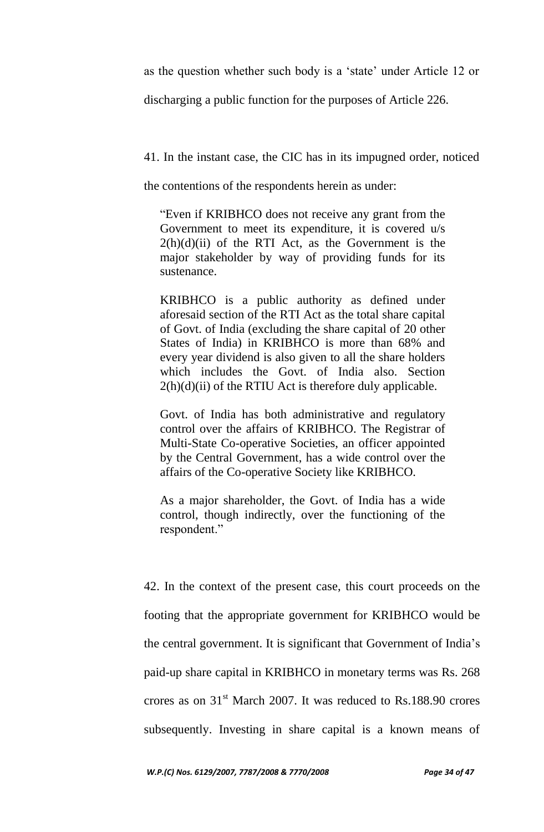as the question whether such body is a "state" under Article 12 or

discharging a public function for the purposes of Article 226.

41. In the instant case, the CIC has in its impugned order, noticed

the contentions of the respondents herein as under:

"Even if KRIBHCO does not receive any grant from the Government to meet its expenditure, it is covered u/s  $2(h)(d)(ii)$  of the RTI Act, as the Government is the major stakeholder by way of providing funds for its sustenance.

KRIBHCO is a public authority as defined under aforesaid section of the RTI Act as the total share capital of Govt. of India (excluding the share capital of 20 other States of India) in KRIBHCO is more than 68% and every year dividend is also given to all the share holders which includes the Govt. of India also. Section  $2(h)(d)(ii)$  of the RTIU Act is therefore duly applicable.

Govt. of India has both administrative and regulatory control over the affairs of KRIBHCO. The Registrar of Multi-State Co-operative Societies, an officer appointed by the Central Government, has a wide control over the affairs of the Co-operative Society like KRIBHCO.

As a major shareholder, the Govt. of India has a wide control, though indirectly, over the functioning of the respondent."

42. In the context of the present case, this court proceeds on the footing that the appropriate government for KRIBHCO would be the central government. It is significant that Government of India"s paid-up share capital in KRIBHCO in monetary terms was Rs. 268 crores as on  $31<sup>st</sup>$  March 2007. It was reduced to Rs.188.90 crores subsequently. Investing in share capital is a known means of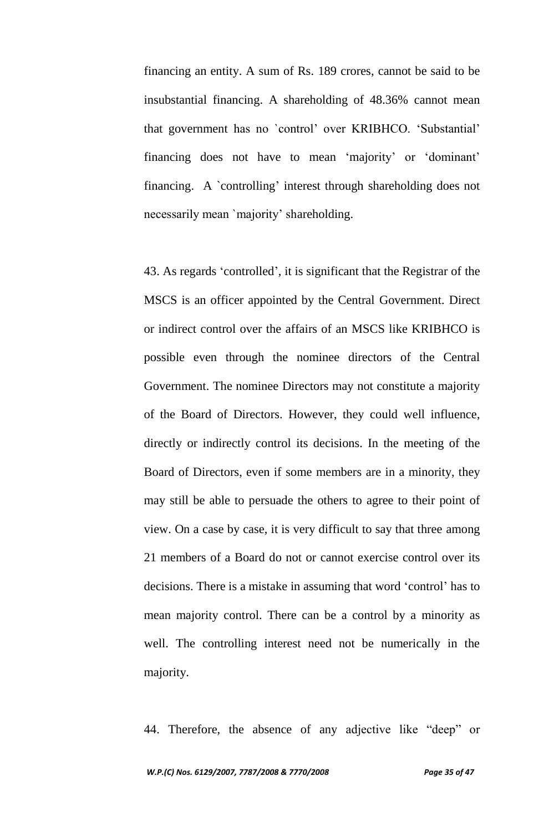financing an entity. A sum of Rs. 189 crores, cannot be said to be insubstantial financing. A shareholding of 48.36% cannot mean that government has no `control" over KRIBHCO. "Substantial" financing does not have to mean 'majority' or 'dominant' financing. A `controlling" interest through shareholding does not necessarily mean `majority" shareholding.

43. As regards "controlled", it is significant that the Registrar of the MSCS is an officer appointed by the Central Government. Direct or indirect control over the affairs of an MSCS like KRIBHCO is possible even through the nominee directors of the Central Government. The nominee Directors may not constitute a majority of the Board of Directors. However, they could well influence, directly or indirectly control its decisions. In the meeting of the Board of Directors, even if some members are in a minority, they may still be able to persuade the others to agree to their point of view. On a case by case, it is very difficult to say that three among 21 members of a Board do not or cannot exercise control over its decisions. There is a mistake in assuming that word "control" has to mean majority control. There can be a control by a minority as well. The controlling interest need not be numerically in the majority.

44. Therefore, the absence of any adjective like "deep" or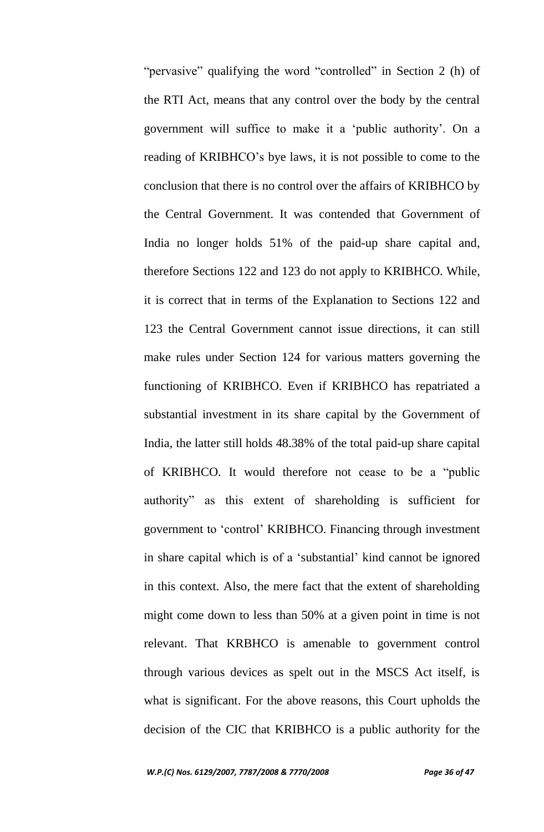"pervasive" qualifying the word "controlled" in Section 2 (h) of the RTI Act, means that any control over the body by the central government will suffice to make it a "public authority". On a reading of KRIBHCO"s bye laws, it is not possible to come to the conclusion that there is no control over the affairs of KRIBHCO by the Central Government. It was contended that Government of India no longer holds 51% of the paid-up share capital and, therefore Sections 122 and 123 do not apply to KRIBHCO. While, it is correct that in terms of the Explanation to Sections 122 and 123 the Central Government cannot issue directions, it can still make rules under Section 124 for various matters governing the functioning of KRIBHCO. Even if KRIBHCO has repatriated a substantial investment in its share capital by the Government of India, the latter still holds 48.38% of the total paid-up share capital of KRIBHCO. It would therefore not cease to be a "public authority" as this extent of shareholding is sufficient for government to "control" KRIBHCO. Financing through investment in share capital which is of a "substantial" kind cannot be ignored in this context. Also, the mere fact that the extent of shareholding might come down to less than 50% at a given point in time is not relevant. That KRBHCO is amenable to government control through various devices as spelt out in the MSCS Act itself, is what is significant. For the above reasons, this Court upholds the decision of the CIC that KRIBHCO is a public authority for the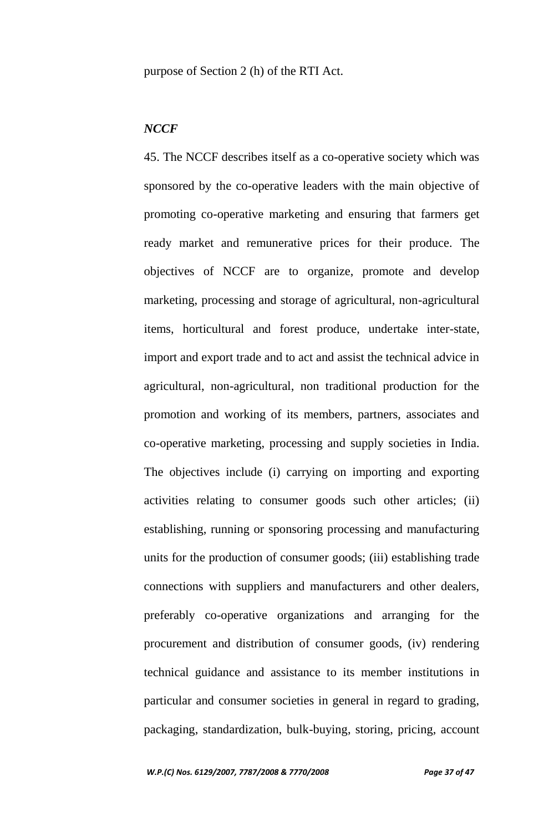purpose of Section 2 (h) of the RTI Act.

## *NCCF*

45. The NCCF describes itself as a co-operative society which was sponsored by the co-operative leaders with the main objective of promoting co-operative marketing and ensuring that farmers get ready market and remunerative prices for their produce. The objectives of NCCF are to organize, promote and develop marketing, processing and storage of agricultural, non-agricultural items, horticultural and forest produce, undertake inter-state, import and export trade and to act and assist the technical advice in agricultural, non-agricultural, non traditional production for the promotion and working of its members, partners, associates and co-operative marketing, processing and supply societies in India. The objectives include (i) carrying on importing and exporting activities relating to consumer goods such other articles; (ii) establishing, running or sponsoring processing and manufacturing units for the production of consumer goods; (iii) establishing trade connections with suppliers and manufacturers and other dealers, preferably co-operative organizations and arranging for the procurement and distribution of consumer goods, (iv) rendering technical guidance and assistance to its member institutions in particular and consumer societies in general in regard to grading, packaging, standardization, bulk-buying, storing, pricing, account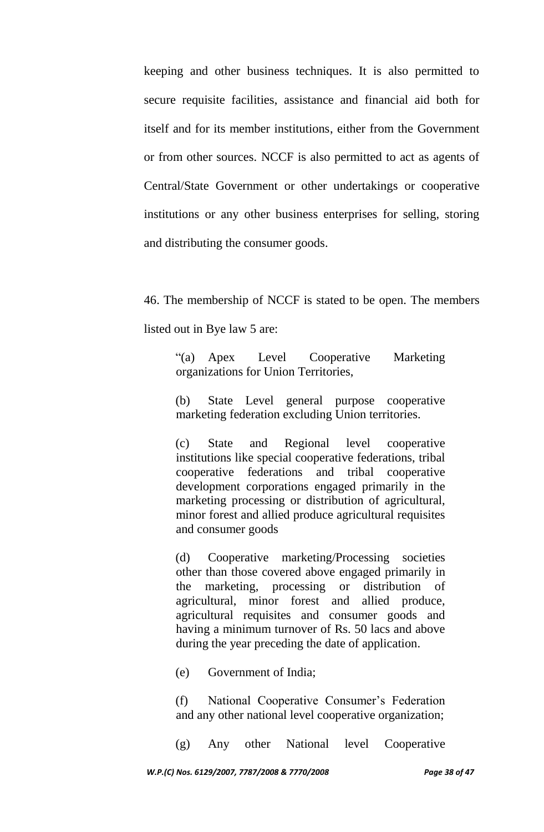keeping and other business techniques. It is also permitted to secure requisite facilities, assistance and financial aid both for itself and for its member institutions, either from the Government or from other sources. NCCF is also permitted to act as agents of Central/State Government or other undertakings or cooperative institutions or any other business enterprises for selling, storing and distributing the consumer goods.

46. The membership of NCCF is stated to be open. The members listed out in Bye law 5 are:

"(a) Apex Level Cooperative Marketing organizations for Union Territories,

(b) State Level general purpose cooperative marketing federation excluding Union territories.

(c) State and Regional level cooperative institutions like special cooperative federations, tribal cooperative federations and tribal cooperative development corporations engaged primarily in the marketing processing or distribution of agricultural, minor forest and allied produce agricultural requisites and consumer goods

(d) Cooperative marketing/Processing societies other than those covered above engaged primarily in the marketing, processing or distribution of agricultural, minor forest and allied produce, agricultural requisites and consumer goods and having a minimum turnover of Rs. 50 lacs and above during the year preceding the date of application.

(e) Government of India;

(f) National Cooperative Consumer"s Federation and any other national level cooperative organization;

(g) Any other National level Cooperative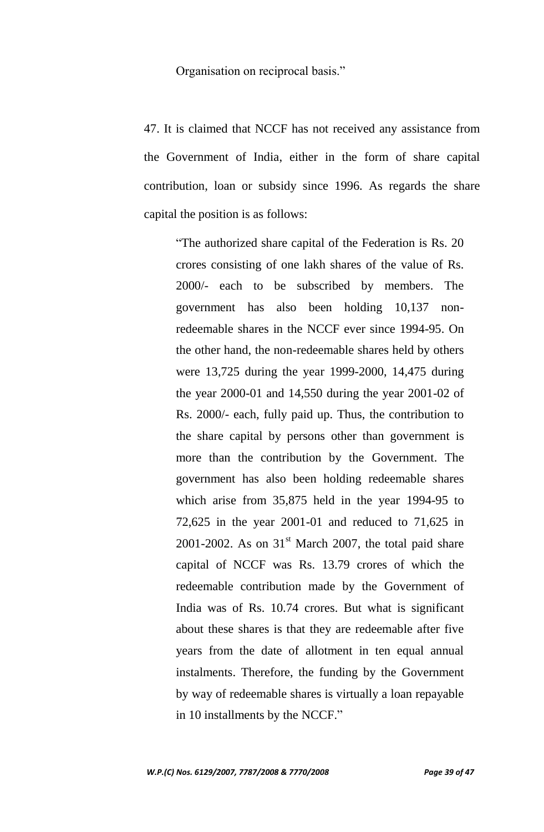Organisation on reciprocal basis."

47. It is claimed that NCCF has not received any assistance from the Government of India, either in the form of share capital contribution, loan or subsidy since 1996. As regards the share capital the position is as follows:

"The authorized share capital of the Federation is Rs. 20 crores consisting of one lakh shares of the value of Rs. 2000/- each to be subscribed by members. The government has also been holding 10,137 nonredeemable shares in the NCCF ever since 1994-95. On the other hand, the non-redeemable shares held by others were 13,725 during the year 1999-2000, 14,475 during the year 2000-01 and 14,550 during the year 2001-02 of Rs. 2000/- each, fully paid up. Thus, the contribution to the share capital by persons other than government is more than the contribution by the Government. The government has also been holding redeemable shares which arise from 35,875 held in the year 1994-95 to 72,625 in the year 2001-01 and reduced to 71,625 in 2001-2002. As on  $31<sup>st</sup>$  March 2007, the total paid share capital of NCCF was Rs. 13.79 crores of which the redeemable contribution made by the Government of India was of Rs. 10.74 crores. But what is significant about these shares is that they are redeemable after five years from the date of allotment in ten equal annual instalments. Therefore, the funding by the Government by way of redeemable shares is virtually a loan repayable in 10 installments by the NCCF."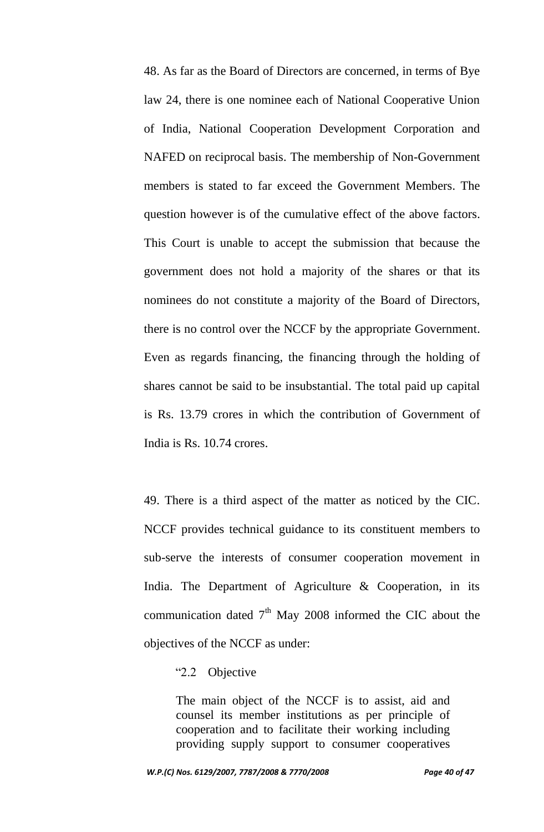48. As far as the Board of Directors are concerned, in terms of Bye law 24, there is one nominee each of National Cooperative Union of India, National Cooperation Development Corporation and NAFED on reciprocal basis. The membership of Non-Government members is stated to far exceed the Government Members. The question however is of the cumulative effect of the above factors. This Court is unable to accept the submission that because the government does not hold a majority of the shares or that its nominees do not constitute a majority of the Board of Directors, there is no control over the NCCF by the appropriate Government. Even as regards financing, the financing through the holding of shares cannot be said to be insubstantial. The total paid up capital is Rs. 13.79 crores in which the contribution of Government of India is Rs. 10.74 crores.

49. There is a third aspect of the matter as noticed by the CIC. NCCF provides technical guidance to its constituent members to sub-serve the interests of consumer cooperation movement in India. The Department of Agriculture & Cooperation, in its communication dated  $7<sup>th</sup>$  May 2008 informed the CIC about the objectives of the NCCF as under:

#### "2.2 Objective

The main object of the NCCF is to assist, aid and counsel its member institutions as per principle of cooperation and to facilitate their working including providing supply support to consumer cooperatives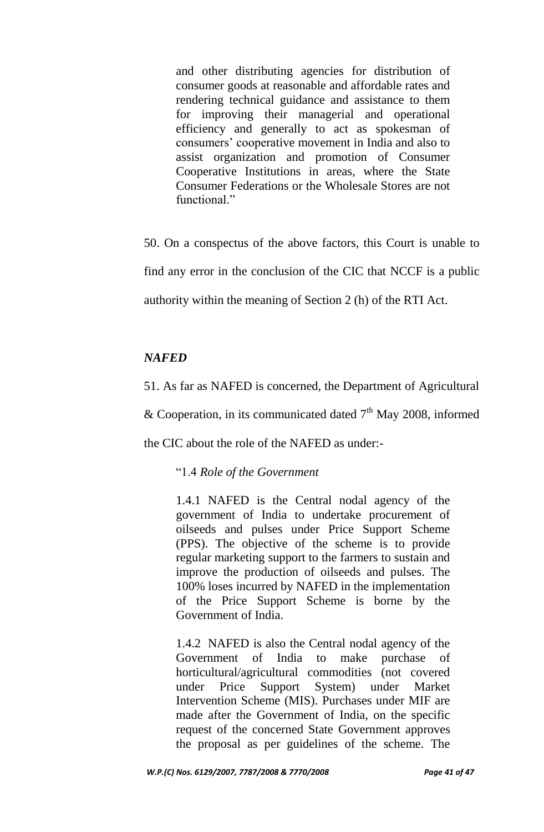and other distributing agencies for distribution of consumer goods at reasonable and affordable rates and rendering technical guidance and assistance to them for improving their managerial and operational efficiency and generally to act as spokesman of consumers" cooperative movement in India and also to assist organization and promotion of Consumer Cooperative Institutions in areas, where the State Consumer Federations or the Wholesale Stores are not functional."

50. On a conspectus of the above factors, this Court is unable to find any error in the conclusion of the CIC that NCCF is a public authority within the meaning of Section 2 (h) of the RTI Act.

## *NAFED*

51. As far as NAFED is concerned, the Department of Agricultural

& Cooperation, in its communicated dated  $7<sup>th</sup>$  May 2008, informed

the CIC about the role of the NAFED as under:-

"1.4 *Role of the Government*

1.4.1 NAFED is the Central nodal agency of the government of India to undertake procurement of oilseeds and pulses under Price Support Scheme (PPS). The objective of the scheme is to provide regular marketing support to the farmers to sustain and improve the production of oilseeds and pulses. The 100% loses incurred by NAFED in the implementation of the Price Support Scheme is borne by the Government of India.

1.4.2 NAFED is also the Central nodal agency of the Government of India to make purchase of horticultural/agricultural commodities (not covered under Price Support System) under Market Intervention Scheme (MIS). Purchases under MIF are made after the Government of India, on the specific request of the concerned State Government approves the proposal as per guidelines of the scheme. The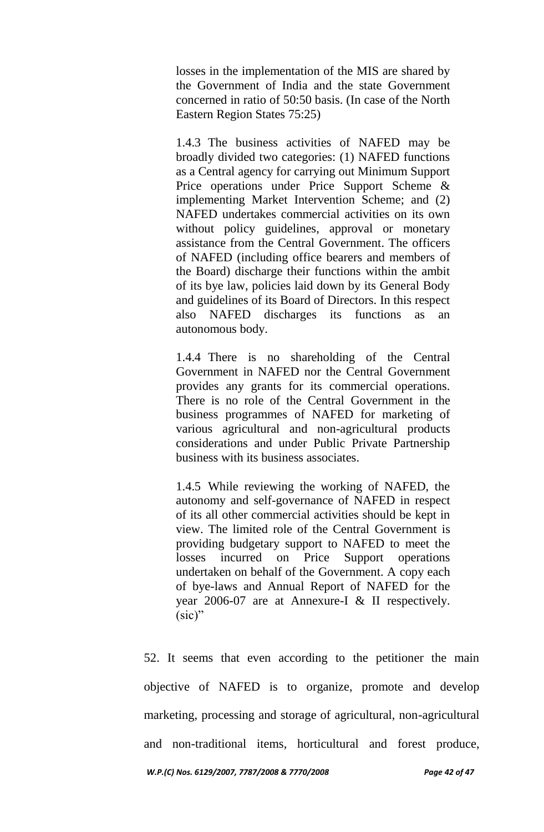losses in the implementation of the MIS are shared by the Government of India and the state Government concerned in ratio of 50:50 basis. (In case of the North Eastern Region States 75:25)

1.4.3 The business activities of NAFED may be broadly divided two categories: (1) NAFED functions as a Central agency for carrying out Minimum Support Price operations under Price Support Scheme & implementing Market Intervention Scheme; and (2) NAFED undertakes commercial activities on its own without policy guidelines, approval or monetary assistance from the Central Government. The officers of NAFED (including office bearers and members of the Board) discharge their functions within the ambit of its bye law, policies laid down by its General Body and guidelines of its Board of Directors. In this respect also NAFED discharges its functions as an autonomous body.

1.4.4 There is no shareholding of the Central Government in NAFED nor the Central Government provides any grants for its commercial operations. There is no role of the Central Government in the business programmes of NAFED for marketing of various agricultural and non-agricultural products considerations and under Public Private Partnership business with its business associates.

1.4.5 While reviewing the working of NAFED, the autonomy and self-governance of NAFED in respect of its all other commercial activities should be kept in view. The limited role of the Central Government is providing budgetary support to NAFED to meet the losses incurred on Price Support operations undertaken on behalf of the Government. A copy each of bye-laws and Annual Report of NAFED for the year 2006-07 are at Annexure-I & II respectively. (sic)"

52. It seems that even according to the petitioner the main objective of NAFED is to organize, promote and develop marketing, processing and storage of agricultural, non-agricultural and non-traditional items, horticultural and forest produce,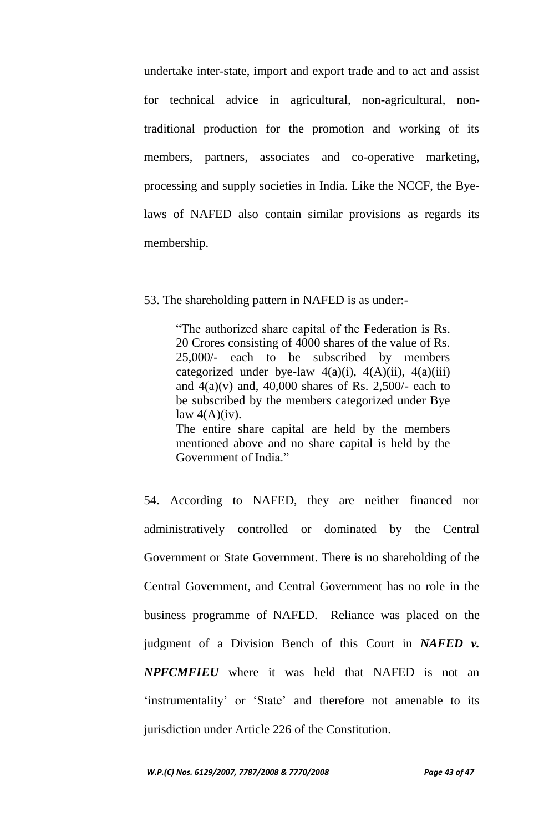undertake inter-state, import and export trade and to act and assist for technical advice in agricultural, non-agricultural, nontraditional production for the promotion and working of its members, partners, associates and co-operative marketing, processing and supply societies in India. Like the NCCF, the Byelaws of NAFED also contain similar provisions as regards its membership.

53. The shareholding pattern in NAFED is as under:-

"The authorized share capital of the Federation is Rs. 20 Crores consisting of 4000 shares of the value of Rs. 25,000/- each to be subscribed by members categorized under bye-law  $4(a)(i)$ ,  $4(A)(ii)$ ,  $4(a)(iii)$ and  $4(a)(v)$  and,  $40,000$  shares of Rs. 2,500/- each to be subscribed by the members categorized under Bye law  $4(A)(iv)$ . The entire share capital are held by the members

mentioned above and no share capital is held by the Government of India."

54. According to NAFED, they are neither financed nor administratively controlled or dominated by the Central Government or State Government. There is no shareholding of the Central Government, and Central Government has no role in the business programme of NAFED. Reliance was placed on the judgment of a Division Bench of this Court in *NAFED v. NPFCMFIEU* where it was held that NAFED is not an 'instrumentality' or 'State' and therefore not amenable to its jurisdiction under Article 226 of the Constitution.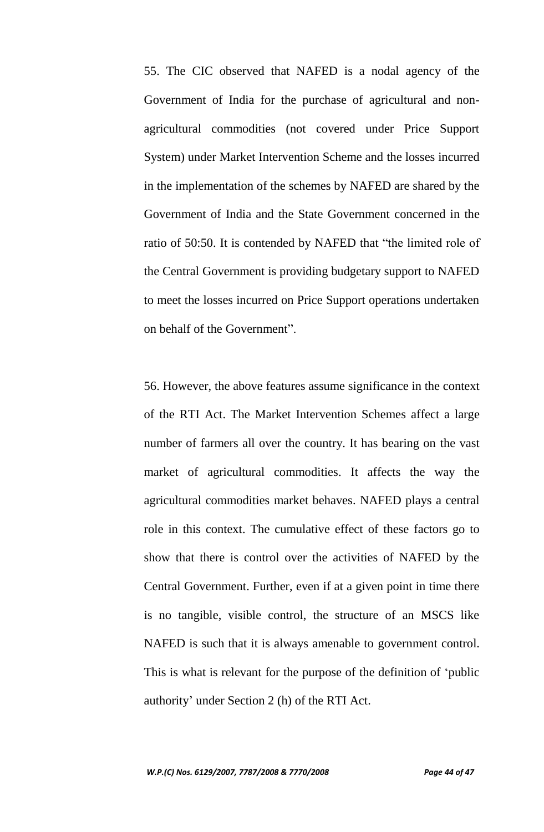55. The CIC observed that NAFED is a nodal agency of the Government of India for the purchase of agricultural and nonagricultural commodities (not covered under Price Support System) under Market Intervention Scheme and the losses incurred in the implementation of the schemes by NAFED are shared by the Government of India and the State Government concerned in the ratio of 50:50. It is contended by NAFED that "the limited role of the Central Government is providing budgetary support to NAFED to meet the losses incurred on Price Support operations undertaken on behalf of the Government".

56. However, the above features assume significance in the context of the RTI Act. The Market Intervention Schemes affect a large number of farmers all over the country. It has bearing on the vast market of agricultural commodities. It affects the way the agricultural commodities market behaves. NAFED plays a central role in this context. The cumulative effect of these factors go to show that there is control over the activities of NAFED by the Central Government. Further, even if at a given point in time there is no tangible, visible control, the structure of an MSCS like NAFED is such that it is always amenable to government control. This is what is relevant for the purpose of the definition of "public authority" under Section 2 (h) of the RTI Act.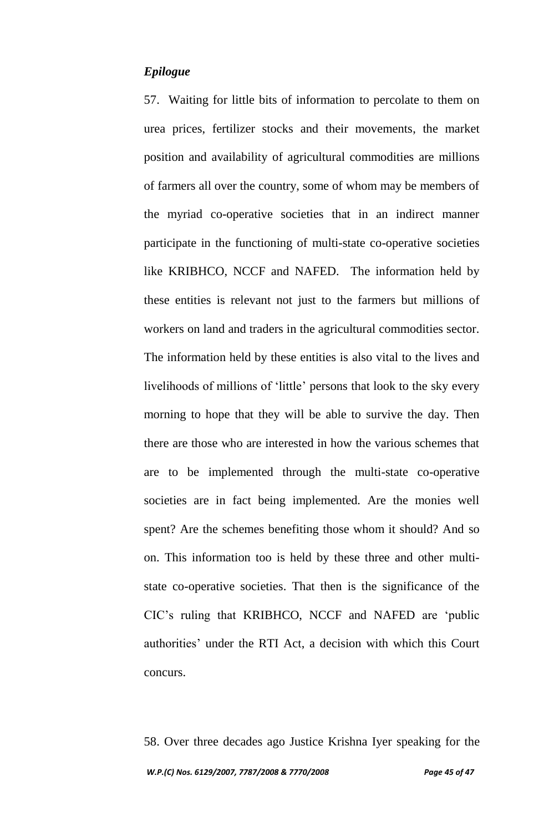## *Epilogue*

57. Waiting for little bits of information to percolate to them on urea prices, fertilizer stocks and their movements, the market position and availability of agricultural commodities are millions of farmers all over the country, some of whom may be members of the myriad co-operative societies that in an indirect manner participate in the functioning of multi-state co-operative societies like KRIBHCO, NCCF and NAFED. The information held by these entities is relevant not just to the farmers but millions of workers on land and traders in the agricultural commodities sector. The information held by these entities is also vital to the lives and livelihoods of millions of "little" persons that look to the sky every morning to hope that they will be able to survive the day. Then there are those who are interested in how the various schemes that are to be implemented through the multi-state co-operative societies are in fact being implemented. Are the monies well spent? Are the schemes benefiting those whom it should? And so on. This information too is held by these three and other multistate co-operative societies. That then is the significance of the CIC"s ruling that KRIBHCO, NCCF and NAFED are "public authorities" under the RTI Act, a decision with which this Court concurs.

*W.P.(C) Nos. 6129/2007, 7787/2008 & 7770/2008 Page 45 of 47* 58. Over three decades ago Justice Krishna Iyer speaking for the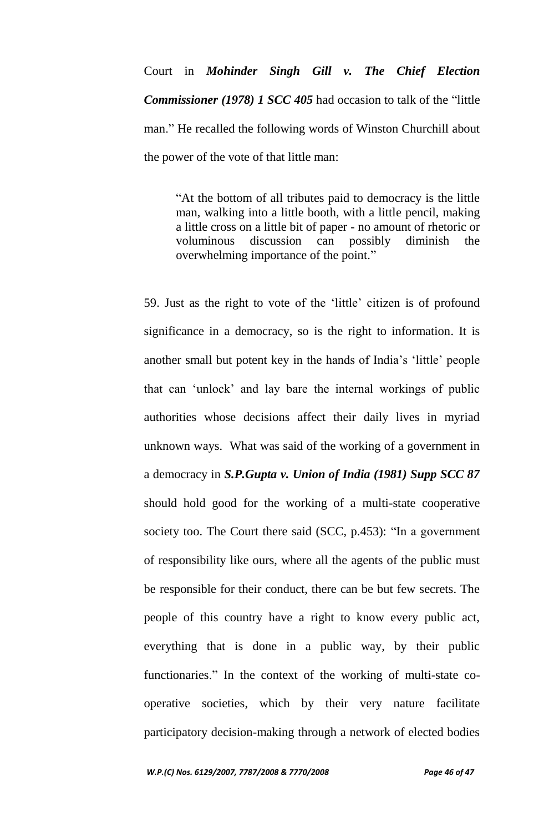Court in *Mohinder Singh Gill v. The Chief Election Commissioner (1978) 1 SCC 405* had occasion to talk of the "little man." He recalled the following words of Winston Churchill about the power of the vote of that little man:

> "At the bottom of all tributes paid to democracy is the little man, walking into a little booth, with a little pencil, making a little cross on a little bit of paper - no amount of rhetoric or voluminous discussion can possibly diminish the overwhelming importance of the point."

59. Just as the right to vote of the "little" citizen is of profound significance in a democracy, so is the right to information. It is another small but potent key in the hands of India"s "little" people that can "unlock" and lay bare the internal workings of public authorities whose decisions affect their daily lives in myriad unknown ways. What was said of the working of a government in a democracy in *S.P.Gupta v. Union of India (1981) Supp SCC 87*  should hold good for the working of a multi-state cooperative society too. The Court there said (SCC, p.453): "In a government of responsibility like ours, where all the agents of the public must be responsible for their conduct, there can be but few secrets. The people of this country have a right to know every public act, everything that is done in a public way, by their public functionaries." In the context of the working of multi-state cooperative societies, which by their very nature facilitate participatory decision-making through a network of elected bodies